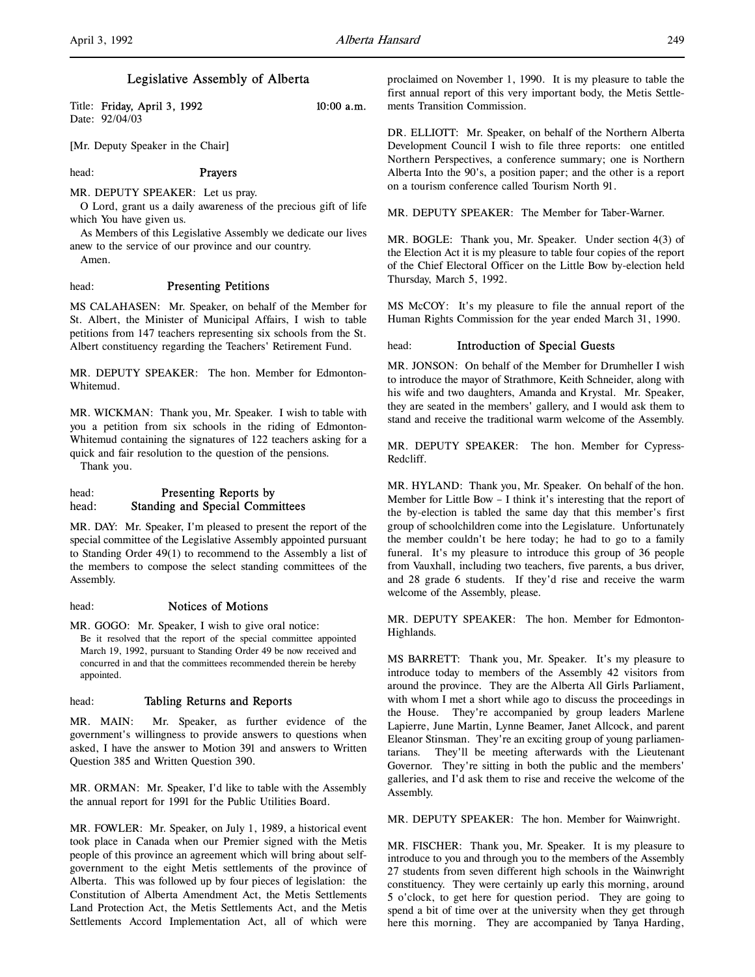## Legislative Assembly of Alberta

Title: Friday, April 3, 1992 10:00 a.m. Date: 92/04/03

[Mr. Deputy Speaker in the Chair]

## head: **Prayers**

MR. DEPUTY SPEAKER: Let us pray.

O Lord, grant us a daily awareness of the precious gift of life which You have given us.

As Members of this Legislative Assembly we dedicate our lives anew to the service of our province and our country.

Amen.

## head: Presenting Petitions

MS CALAHASEN: Mr. Speaker, on behalf of the Member for St. Albert, the Minister of Municipal Affairs, I wish to table petitions from 147 teachers representing six schools from the St. Albert constituency regarding the Teachers' Retirement Fund.

MR. DEPUTY SPEAKER: The hon. Member for Edmonton-Whitemud.

MR. WICKMAN: Thank you, Mr. Speaker. I wish to table with you a petition from six schools in the riding of Edmonton-Whitemud containing the signatures of 122 teachers asking for a quick and fair resolution to the question of the pensions.

Thank you.

## head: Presenting Reports by head: Standing and Special Committees

MR. DAY: Mr. Speaker, I'm pleased to present the report of the special committee of the Legislative Assembly appointed pursuant to Standing Order 49(1) to recommend to the Assembly a list of the members to compose the select standing committees of the Assembly.

## head: Notices of Motions

MR. GOGO: Mr. Speaker, I wish to give oral notice: Be it resolved that the report of the special committee appointed March 19, 1992, pursuant to Standing Order 49 be now received and concurred in and that the committees recommended therein be hereby appointed.

## head: Tabling Returns and Reports

MR. MAIN: Mr. Speaker, as further evidence of the government's willingness to provide answers to questions when asked, I have the answer to Motion 391 and answers to Written Question 385 and Written Question 390.

MR. ORMAN: Mr. Speaker, I'd like to table with the Assembly the annual report for 1991 for the Public Utilities Board.

MR. FOWLER: Mr. Speaker, on July 1, 1989, a historical event took place in Canada when our Premier signed with the Metis people of this province an agreement which will bring about selfgovernment to the eight Metis settlements of the province of Alberta. This was followed up by four pieces of legislation: the Constitution of Alberta Amendment Act, the Metis Settlements Land Protection Act, the Metis Settlements Act, and the Metis Settlements Accord Implementation Act, all of which were

proclaimed on November 1, 1990. It is my pleasure to table the first annual report of this very important body, the Metis Settlements Transition Commission.

DR. ELLIOTT: Mr. Speaker, on behalf of the Northern Alberta Development Council I wish to file three reports: one entitled Northern Perspectives, a conference summary; one is Northern Alberta Into the 90's, a position paper; and the other is a report on a tourism conference called Tourism North 91.

MR. DEPUTY SPEAKER: The Member for Taber-Warner.

MR. BOGLE: Thank you, Mr. Speaker. Under section 4(3) of the Election Act it is my pleasure to table four copies of the report of the Chief Electoral Officer on the Little Bow by-election held Thursday, March 5, 1992.

MS McCOY: It's my pleasure to file the annual report of the Human Rights Commission for the year ended March 31, 1990.

## head: **Introduction of Special Guests**

MR. JONSON: On behalf of the Member for Drumheller I wish to introduce the mayor of Strathmore, Keith Schneider, along with his wife and two daughters, Amanda and Krystal. Mr. Speaker, they are seated in the members' gallery, and I would ask them to stand and receive the traditional warm welcome of the Assembly.

MR. DEPUTY SPEAKER: The hon. Member for Cypress-Redcliff.

MR. HYLAND: Thank you, Mr. Speaker. On behalf of the hon. Member for Little Bow – I think it's interesting that the report of the by-election is tabled the same day that this member's first group of schoolchildren come into the Legislature. Unfortunately the member couldn't be here today; he had to go to a family funeral. It's my pleasure to introduce this group of 36 people from Vauxhall, including two teachers, five parents, a bus driver, and 28 grade 6 students. If they'd rise and receive the warm welcome of the Assembly, please.

MR. DEPUTY SPEAKER: The hon. Member for Edmonton-Highlands.

MS BARRETT: Thank you, Mr. Speaker. It's my pleasure to introduce today to members of the Assembly 42 visitors from around the province. They are the Alberta All Girls Parliament, with whom I met a short while ago to discuss the proceedings in the House. They're accompanied by group leaders Marlene Lapierre, June Martin, Lynne Beamer, Janet Allcock, and parent Eleanor Stinsman. They're an exciting group of young parliamentarians. They'll be meeting afterwards with the Lieutenant Governor. They're sitting in both the public and the members' galleries, and I'd ask them to rise and receive the welcome of the Assembly.

MR. DEPUTY SPEAKER: The hon. Member for Wainwright.

MR. FISCHER: Thank you, Mr. Speaker. It is my pleasure to introduce to you and through you to the members of the Assembly 27 students from seven different high schools in the Wainwright constituency. They were certainly up early this morning, around 5 o'clock, to get here for question period. They are going to spend a bit of time over at the university when they get through here this morning. They are accompanied by Tanya Harding,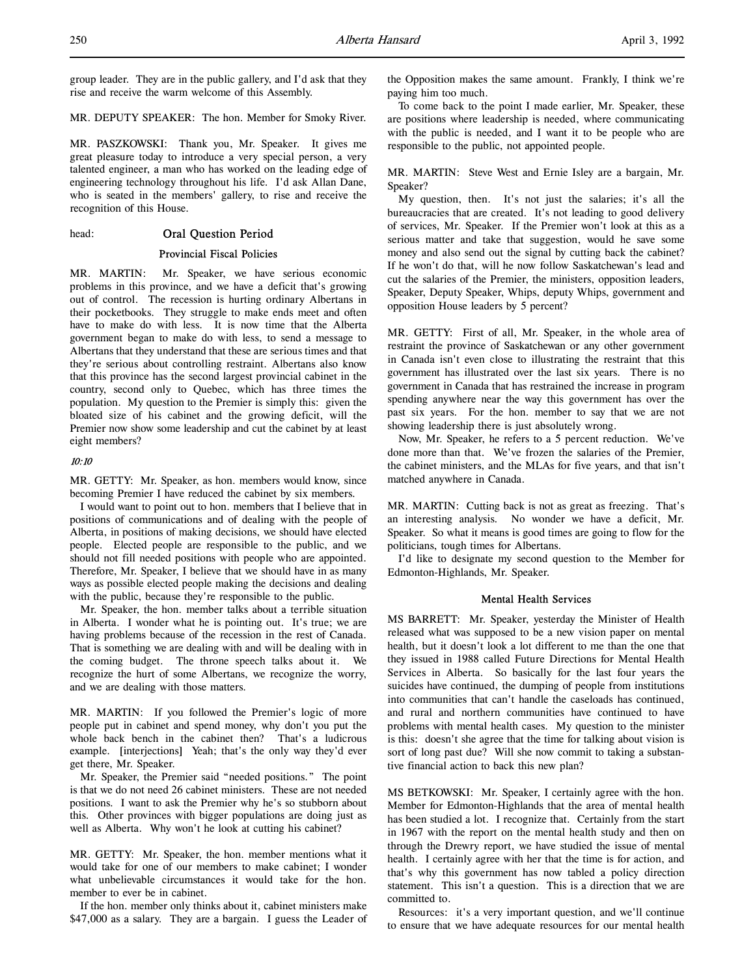group leader. They are in the public gallery, and I'd ask that they rise and receive the warm welcome of this Assembly.

## MR. DEPUTY SPEAKER: The hon. Member for Smoky River.

MR. PASZKOWSKI: Thank you, Mr. Speaker. It gives me great pleasure today to introduce a very special person, a very talented engineer, a man who has worked on the leading edge of engineering technology throughout his life. I'd ask Allan Dane, who is seated in the members' gallery, to rise and receive the recognition of this House.

## head: Oral Question Period

## Provincial Fiscal Policies

MR. MARTIN: Mr. Speaker, we have serious economic problems in this province, and we have a deficit that's growing out of control. The recession is hurting ordinary Albertans in their pocketbooks. They struggle to make ends meet and often have to make do with less. It is now time that the Alberta government began to make do with less, to send a message to Albertans that they understand that these are serious times and that they're serious about controlling restraint. Albertans also know that this province has the second largest provincial cabinet in the country, second only to Quebec, which has three times the population. My question to the Premier is simply this: given the bloated size of his cabinet and the growing deficit, will the Premier now show some leadership and cut the cabinet by at least eight members?

## 10:10

MR. GETTY: Mr. Speaker, as hon. members would know, since becoming Premier I have reduced the cabinet by six members.

I would want to point out to hon. members that I believe that in positions of communications and of dealing with the people of Alberta, in positions of making decisions, we should have elected people. Elected people are responsible to the public, and we should not fill needed positions with people who are appointed. Therefore, Mr. Speaker, I believe that we should have in as many ways as possible elected people making the decisions and dealing with the public, because they're responsible to the public.

Mr. Speaker, the hon. member talks about a terrible situation in Alberta. I wonder what he is pointing out. It's true; we are having problems because of the recession in the rest of Canada. That is something we are dealing with and will be dealing with in the coming budget. The throne speech talks about it. We recognize the hurt of some Albertans, we recognize the worry, and we are dealing with those matters.

MR. MARTIN: If you followed the Premier's logic of more people put in cabinet and spend money, why don't you put the whole back bench in the cabinet then? That's a ludicrous example. [interjections] Yeah; that's the only way they'd ever get there, Mr. Speaker.

Mr. Speaker, the Premier said "needed positions." The point is that we do not need 26 cabinet ministers. These are not needed positions. I want to ask the Premier why he's so stubborn about this. Other provinces with bigger populations are doing just as well as Alberta. Why won't he look at cutting his cabinet?

MR. GETTY: Mr. Speaker, the hon. member mentions what it would take for one of our members to make cabinet; I wonder what unbelievable circumstances it would take for the hon. member to ever be in cabinet.

If the hon. member only thinks about it, cabinet ministers make \$47,000 as a salary. They are a bargain. I guess the Leader of the Opposition makes the same amount. Frankly, I think we're paying him too much.

To come back to the point I made earlier, Mr. Speaker, these are positions where leadership is needed, where communicating with the public is needed, and I want it to be people who are responsible to the public, not appointed people.

MR. MARTIN: Steve West and Ernie Isley are a bargain, Mr. Speaker?

My question, then. It's not just the salaries; it's all the bureaucracies that are created. It's not leading to good delivery of services, Mr. Speaker. If the Premier won't look at this as a serious matter and take that suggestion, would he save some money and also send out the signal by cutting back the cabinet? If he won't do that, will he now follow Saskatchewan's lead and cut the salaries of the Premier, the ministers, opposition leaders, Speaker, Deputy Speaker, Whips, deputy Whips, government and opposition House leaders by 5 percent?

MR. GETTY: First of all, Mr. Speaker, in the whole area of restraint the province of Saskatchewan or any other government in Canada isn't even close to illustrating the restraint that this government has illustrated over the last six years. There is no government in Canada that has restrained the increase in program spending anywhere near the way this government has over the past six years. For the hon. member to say that we are not showing leadership there is just absolutely wrong.

Now, Mr. Speaker, he refers to a 5 percent reduction. We've done more than that. We've frozen the salaries of the Premier, the cabinet ministers, and the MLAs for five years, and that isn't matched anywhere in Canada.

MR. MARTIN: Cutting back is not as great as freezing. That's an interesting analysis. No wonder we have a deficit, Mr. Speaker. So what it means is good times are going to flow for the politicians, tough times for Albertans.

I'd like to designate my second question to the Member for Edmonton-Highlands, Mr. Speaker.

#### Mental Health Services

MS BARRETT: Mr. Speaker, yesterday the Minister of Health released what was supposed to be a new vision paper on mental health, but it doesn't look a lot different to me than the one that they issued in 1988 called Future Directions for Mental Health Services in Alberta. So basically for the last four years the suicides have continued, the dumping of people from institutions into communities that can't handle the caseloads has continued, and rural and northern communities have continued to have problems with mental health cases. My question to the minister is this: doesn't she agree that the time for talking about vision is sort of long past due? Will she now commit to taking a substantive financial action to back this new plan?

MS BETKOWSKI: Mr. Speaker, I certainly agree with the hon. Member for Edmonton-Highlands that the area of mental health has been studied a lot. I recognize that. Certainly from the start in 1967 with the report on the mental health study and then on through the Drewry report, we have studied the issue of mental health. I certainly agree with her that the time is for action, and that's why this government has now tabled a policy direction statement. This isn't a question. This is a direction that we are committed to.

Resources: it's a very important question, and we'll continue to ensure that we have adequate resources for our mental health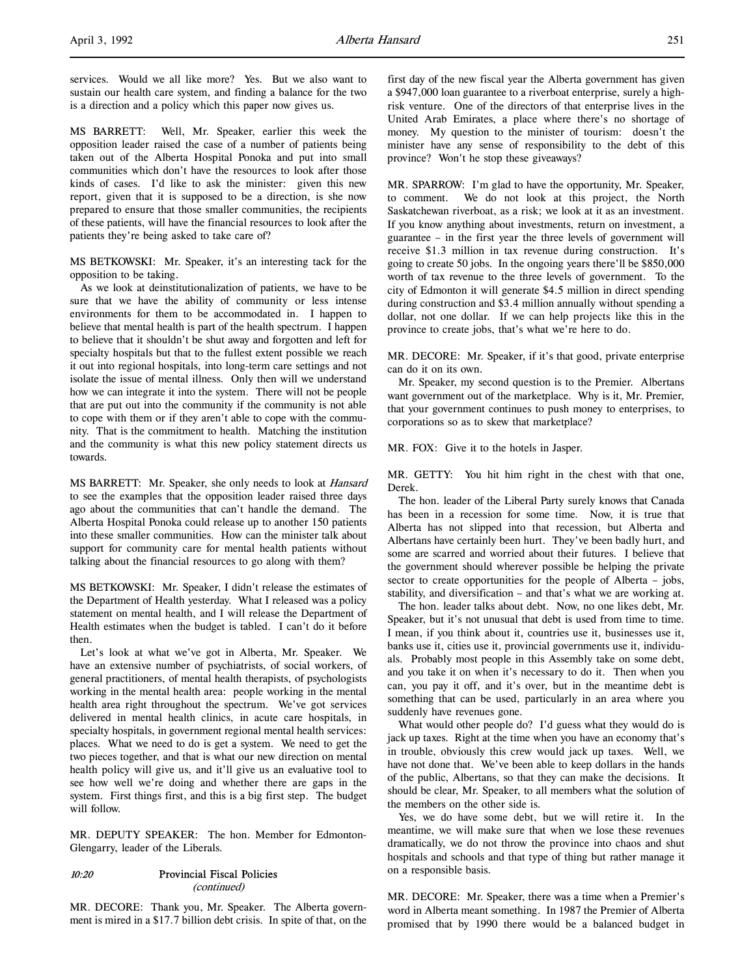services. Would we all like more? Yes. But we also want to sustain our health care system, and finding a balance for the two is a direction and a policy which this paper now gives us.

MS BARRETT: Well, Mr. Speaker, earlier this week the opposition leader raised the case of a number of patients being taken out of the Alberta Hospital Ponoka and put into small communities which don't have the resources to look after those kinds of cases. I'd like to ask the minister: given this new report, given that it is supposed to be a direction, is she now prepared to ensure that those smaller communities, the recipients of these patients, will have the financial resources to look after the patients they're being asked to take care of?

MS BETKOWSKI: Mr. Speaker, it's an interesting tack for the opposition to be taking.

As we look at deinstitutionalization of patients, we have to be sure that we have the ability of community or less intense environments for them to be accommodated in. I happen to believe that mental health is part of the health spectrum. I happen to believe that it shouldn't be shut away and forgotten and left for specialty hospitals but that to the fullest extent possible we reach it out into regional hospitals, into long-term care settings and not isolate the issue of mental illness. Only then will we understand how we can integrate it into the system. There will not be people that are put out into the community if the community is not able to cope with them or if they aren't able to cope with the community. That is the commitment to health. Matching the institution and the community is what this new policy statement directs us towards.

MS BARRETT: Mr. Speaker, she only needs to look at Hansard to see the examples that the opposition leader raised three days ago about the communities that can't handle the demand. The Alberta Hospital Ponoka could release up to another 150 patients into these smaller communities. How can the minister talk about support for community care for mental health patients without talking about the financial resources to go along with them?

MS BETKOWSKI: Mr. Speaker, I didn't release the estimates of the Department of Health yesterday. What I released was a policy statement on mental health, and I will release the Department of Health estimates when the budget is tabled. I can't do it before then.

Let's look at what we've got in Alberta, Mr. Speaker. We have an extensive number of psychiatrists, of social workers, of general practitioners, of mental health therapists, of psychologists working in the mental health area: people working in the mental health area right throughout the spectrum. We've got services delivered in mental health clinics, in acute care hospitals, in specialty hospitals, in government regional mental health services: places. What we need to do is get a system. We need to get the two pieces together, and that is what our new direction on mental health policy will give us, and it'll give us an evaluative tool to see how well we're doing and whether there are gaps in the system. First things first, and this is a big first step. The budget will follow.

MR. DEPUTY SPEAKER: The hon. Member for Edmonton-Glengarry, leader of the Liberals.

## 10:20 Provincial Fiscal Policies (continued)

MR. DECORE: Thank you, Mr. Speaker. The Alberta government is mired in a \$17.7 billion debt crisis. In spite of that, on the first day of the new fiscal year the Alberta government has given a \$947,000 loan guarantee to a riverboat enterprise, surely a highrisk venture. One of the directors of that enterprise lives in the United Arab Emirates, a place where there's no shortage of money. My question to the minister of tourism: doesn't the minister have any sense of responsibility to the debt of this province? Won't he stop these giveaways?

MR. SPARROW: I'm glad to have the opportunity, Mr. Speaker, to comment. We do not look at this project, the North Saskatchewan riverboat, as a risk; we look at it as an investment. If you know anything about investments, return on investment, a guarantee – in the first year the three levels of government will receive \$1.3 million in tax revenue during construction. It's going to create 50 jobs. In the ongoing years there'll be \$850,000 worth of tax revenue to the three levels of government. To the city of Edmonton it will generate \$4.5 million in direct spending during construction and \$3.4 million annually without spending a dollar, not one dollar. If we can help projects like this in the province to create jobs, that's what we're here to do.

MR. DECORE: Mr. Speaker, if it's that good, private enterprise can do it on its own.

Mr. Speaker, my second question is to the Premier. Albertans want government out of the marketplace. Why is it, Mr. Premier, that your government continues to push money to enterprises, to corporations so as to skew that marketplace?

MR. FOX: Give it to the hotels in Jasper.

MR. GETTY: You hit him right in the chest with that one, Derek.

The hon. leader of the Liberal Party surely knows that Canada has been in a recession for some time. Now, it is true that Alberta has not slipped into that recession, but Alberta and Albertans have certainly been hurt. They've been badly hurt, and some are scarred and worried about their futures. I believe that the government should wherever possible be helping the private sector to create opportunities for the people of Alberta – jobs, stability, and diversification – and that's what we are working at.

The hon. leader talks about debt. Now, no one likes debt, Mr. Speaker, but it's not unusual that debt is used from time to time. I mean, if you think about it, countries use it, businesses use it, banks use it, cities use it, provincial governments use it, individuals. Probably most people in this Assembly take on some debt, and you take it on when it's necessary to do it. Then when you can, you pay it off, and it's over, but in the meantime debt is something that can be used, particularly in an area where you suddenly have revenues gone.

What would other people do? I'd guess what they would do is jack up taxes. Right at the time when you have an economy that's in trouble, obviously this crew would jack up taxes. Well, we have not done that. We've been able to keep dollars in the hands of the public, Albertans, so that they can make the decisions. It should be clear, Mr. Speaker, to all members what the solution of the members on the other side is.

Yes, we do have some debt, but we will retire it. In the meantime, we will make sure that when we lose these revenues dramatically, we do not throw the province into chaos and shut hospitals and schools and that type of thing but rather manage it on a responsible basis.

MR. DECORE: Mr. Speaker, there was a time when a Premier's word in Alberta meant something. In 1987 the Premier of Alberta promised that by 1990 there would be a balanced budget in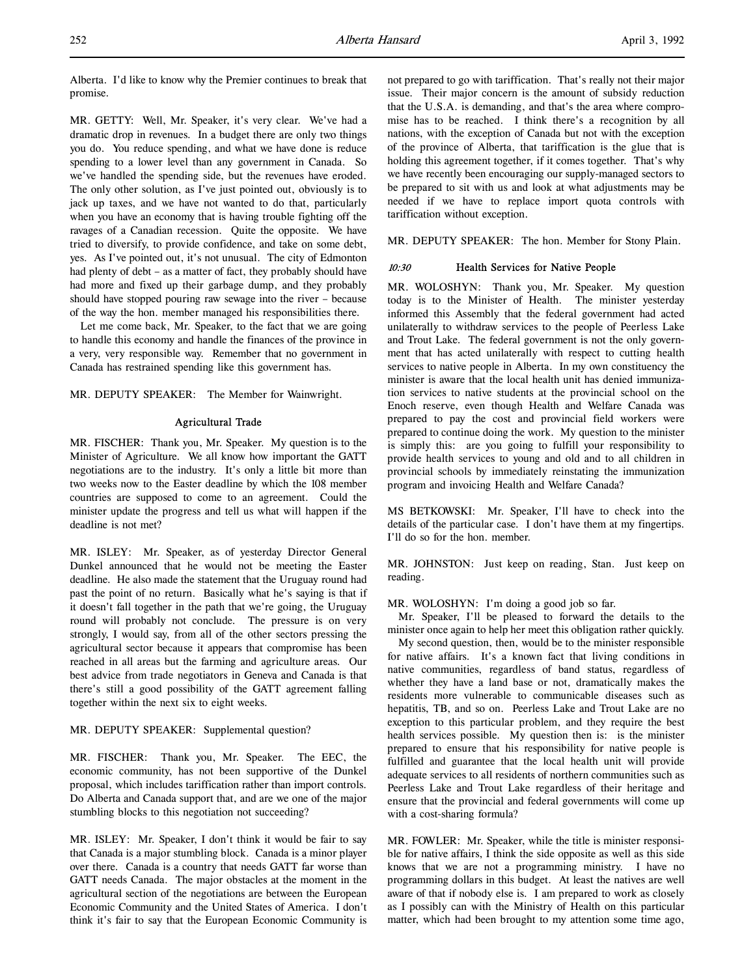Alberta. I'd like to know why the Premier continues to break that promise.

MR. GETTY: Well, Mr. Speaker, it's very clear. We've had a dramatic drop in revenues. In a budget there are only two things you do. You reduce spending, and what we have done is reduce spending to a lower level than any government in Canada. So we've handled the spending side, but the revenues have eroded. The only other solution, as I've just pointed out, obviously is to jack up taxes, and we have not wanted to do that, particularly when you have an economy that is having trouble fighting off the ravages of a Canadian recession. Quite the opposite. We have tried to diversify, to provide confidence, and take on some debt, yes. As I've pointed out, it's not unusual. The city of Edmonton had plenty of debt – as a matter of fact, they probably should have had more and fixed up their garbage dump, and they probably should have stopped pouring raw sewage into the river – because of the way the hon. member managed his responsibilities there.

Let me come back, Mr. Speaker, to the fact that we are going to handle this economy and handle the finances of the province in a very, very responsible way. Remember that no government in Canada has restrained spending like this government has.

MR. DEPUTY SPEAKER: The Member for Wainwright.

## Agricultural Trade

MR. FISCHER: Thank you, Mr. Speaker. My question is to the Minister of Agriculture. We all know how important the GATT negotiations are to the industry. It's only a little bit more than two weeks now to the Easter deadline by which the 108 member countries are supposed to come to an agreement. Could the minister update the progress and tell us what will happen if the deadline is not met?

MR. ISLEY: Mr. Speaker, as of yesterday Director General Dunkel announced that he would not be meeting the Easter deadline. He also made the statement that the Uruguay round had past the point of no return. Basically what he's saying is that if it doesn't fall together in the path that we're going, the Uruguay round will probably not conclude. The pressure is on very strongly, I would say, from all of the other sectors pressing the agricultural sector because it appears that compromise has been reached in all areas but the farming and agriculture areas. Our best advice from trade negotiators in Geneva and Canada is that there's still a good possibility of the GATT agreement falling together within the next six to eight weeks.

## MR. DEPUTY SPEAKER: Supplemental question?

MR. FISCHER: Thank you, Mr. Speaker. The EEC, the economic community, has not been supportive of the Dunkel proposal, which includes tariffication rather than import controls. Do Alberta and Canada support that, and are we one of the major stumbling blocks to this negotiation not succeeding?

MR. ISLEY: Mr. Speaker, I don't think it would be fair to say that Canada is a major stumbling block. Canada is a minor player over there. Canada is a country that needs GATT far worse than GATT needs Canada. The major obstacles at the moment in the agricultural section of the negotiations are between the European Economic Community and the United States of America. I don't think it's fair to say that the European Economic Community is not prepared to go with tariffication. That's really not their major issue. Their major concern is the amount of subsidy reduction that the U.S.A. is demanding, and that's the area where compromise has to be reached. I think there's a recognition by all nations, with the exception of Canada but not with the exception of the province of Alberta, that tariffication is the glue that is holding this agreement together, if it comes together. That's why we have recently been encouraging our supply-managed sectors to be prepared to sit with us and look at what adjustments may be needed if we have to replace import quota controls with tariffication without exception.

MR. DEPUTY SPEAKER: The hon. Member for Stony Plain.

## 10:30 Health Services for Native People

MR. WOLOSHYN: Thank you, Mr. Speaker. My question today is to the Minister of Health. The minister yesterday informed this Assembly that the federal government had acted unilaterally to withdraw services to the people of Peerless Lake and Trout Lake. The federal government is not the only government that has acted unilaterally with respect to cutting health services to native people in Alberta. In my own constituency the minister is aware that the local health unit has denied immunization services to native students at the provincial school on the Enoch reserve, even though Health and Welfare Canada was prepared to pay the cost and provincial field workers were prepared to continue doing the work. My question to the minister is simply this: are you going to fulfill your responsibility to provide health services to young and old and to all children in provincial schools by immediately reinstating the immunization program and invoicing Health and Welfare Canada?

MS BETKOWSKI: Mr. Speaker, I'll have to check into the details of the particular case. I don't have them at my fingertips. I'll do so for the hon. member.

MR. JOHNSTON: Just keep on reading, Stan. Just keep on reading.

MR. WOLOSHYN: I'm doing a good job so far.

Mr. Speaker, I'll be pleased to forward the details to the minister once again to help her meet this obligation rather quickly.

My second question, then, would be to the minister responsible for native affairs. It's a known fact that living conditions in native communities, regardless of band status, regardless of whether they have a land base or not, dramatically makes the residents more vulnerable to communicable diseases such as hepatitis, TB, and so on. Peerless Lake and Trout Lake are no exception to this particular problem, and they require the best health services possible. My question then is: is the minister prepared to ensure that his responsibility for native people is fulfilled and guarantee that the local health unit will provide adequate services to all residents of northern communities such as Peerless Lake and Trout Lake regardless of their heritage and ensure that the provincial and federal governments will come up with a cost-sharing formula?

MR. FOWLER: Mr. Speaker, while the title is minister responsible for native affairs, I think the side opposite as well as this side knows that we are not a programming ministry. I have no programming dollars in this budget. At least the natives are well aware of that if nobody else is. I am prepared to work as closely as I possibly can with the Ministry of Health on this particular matter, which had been brought to my attention some time ago,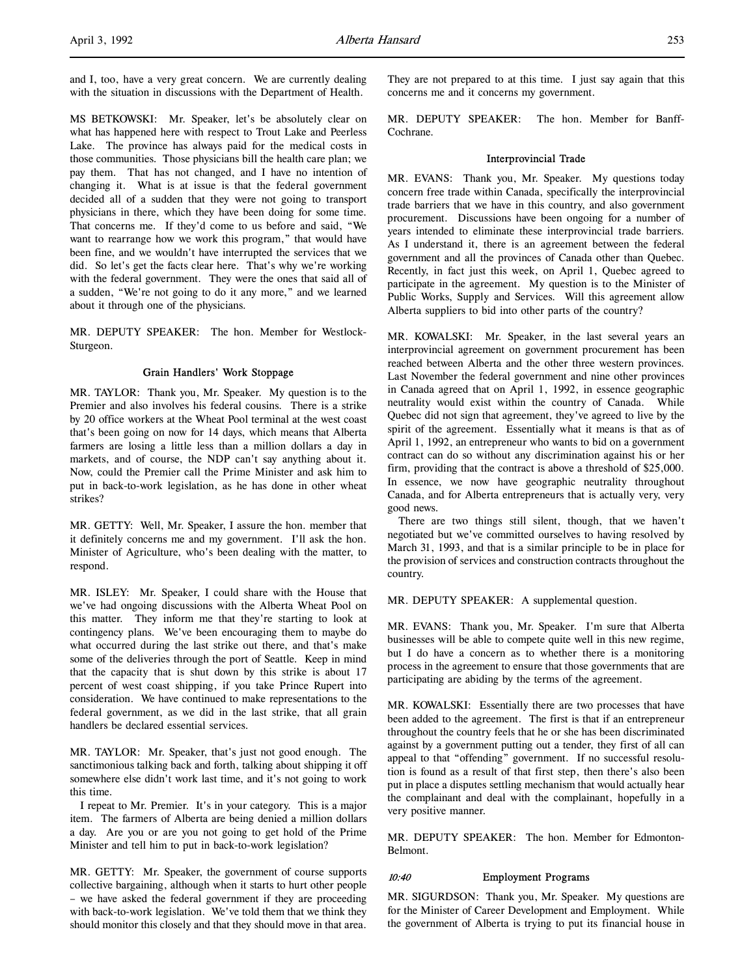and I, too, have a very great concern. We are currently dealing with the situation in discussions with the Department of Health.

MS BETKOWSKI: Mr. Speaker, let's be absolutely clear on what has happened here with respect to Trout Lake and Peerless Lake. The province has always paid for the medical costs in those communities. Those physicians bill the health care plan; we pay them. That has not changed, and I have no intention of changing it. What is at issue is that the federal government decided all of a sudden that they were not going to transport physicians in there, which they have been doing for some time. That concerns me. If they'd come to us before and said, "We want to rearrange how we work this program," that would have been fine, and we wouldn't have interrupted the services that we did. So let's get the facts clear here. That's why we're working with the federal government. They were the ones that said all of a sudden, "We're not going to do it any more," and we learned about it through one of the physicians.

MR. DEPUTY SPEAKER: The hon. Member for Westlock-Sturgeon.

## Grain Handlers' Work Stoppage

MR. TAYLOR: Thank you, Mr. Speaker. My question is to the Premier and also involves his federal cousins. There is a strike by 20 office workers at the Wheat Pool terminal at the west coast that's been going on now for 14 days, which means that Alberta farmers are losing a little less than a million dollars a day in markets, and of course, the NDP can't say anything about it. Now, could the Premier call the Prime Minister and ask him to put in back-to-work legislation, as he has done in other wheat strikes?

MR. GETTY: Well, Mr. Speaker, I assure the hon. member that it definitely concerns me and my government. I'll ask the hon. Minister of Agriculture, who's been dealing with the matter, to respond.

MR. ISLEY: Mr. Speaker, I could share with the House that we've had ongoing discussions with the Alberta Wheat Pool on this matter. They inform me that they're starting to look at contingency plans. We've been encouraging them to maybe do what occurred during the last strike out there, and that's make some of the deliveries through the port of Seattle. Keep in mind that the capacity that is shut down by this strike is about 17 percent of west coast shipping, if you take Prince Rupert into consideration. We have continued to make representations to the federal government, as we did in the last strike, that all grain handlers be declared essential services.

MR. TAYLOR: Mr. Speaker, that's just not good enough. The sanctimonious talking back and forth, talking about shipping it off somewhere else didn't work last time, and it's not going to work this time.

I repeat to Mr. Premier. It's in your category. This is a major item. The farmers of Alberta are being denied a million dollars a day. Are you or are you not going to get hold of the Prime Minister and tell him to put in back-to-work legislation?

MR. GETTY: Mr. Speaker, the government of course supports collective bargaining, although when it starts to hurt other people – we have asked the federal government if they are proceeding with back-to-work legislation. We've told them that we think they should monitor this closely and that they should move in that area.

They are not prepared to at this time. I just say again that this concerns me and it concerns my government.

MR. DEPUTY SPEAKER: The hon. Member for Banff-Cochrane.

#### Interprovincial Trade

MR. EVANS: Thank you, Mr. Speaker. My questions today concern free trade within Canada, specifically the interprovincial trade barriers that we have in this country, and also government procurement. Discussions have been ongoing for a number of years intended to eliminate these interprovincial trade barriers. As I understand it, there is an agreement between the federal government and all the provinces of Canada other than Quebec. Recently, in fact just this week, on April 1, Quebec agreed to participate in the agreement. My question is to the Minister of Public Works, Supply and Services. Will this agreement allow Alberta suppliers to bid into other parts of the country?

MR. KOWALSKI: Mr. Speaker, in the last several years an interprovincial agreement on government procurement has been reached between Alberta and the other three western provinces. Last November the federal government and nine other provinces in Canada agreed that on April 1, 1992, in essence geographic neutrality would exist within the country of Canada. While Quebec did not sign that agreement, they've agreed to live by the spirit of the agreement. Essentially what it means is that as of April 1, 1992, an entrepreneur who wants to bid on a government contract can do so without any discrimination against his or her firm, providing that the contract is above a threshold of \$25,000. In essence, we now have geographic neutrality throughout Canada, and for Alberta entrepreneurs that is actually very, very good news.

There are two things still silent, though, that we haven't negotiated but we've committed ourselves to having resolved by March 31, 1993, and that is a similar principle to be in place for the provision of services and construction contracts throughout the country.

MR. DEPUTY SPEAKER: A supplemental question.

MR. EVANS: Thank you, Mr. Speaker. I'm sure that Alberta businesses will be able to compete quite well in this new regime, but I do have a concern as to whether there is a monitoring process in the agreement to ensure that those governments that are participating are abiding by the terms of the agreement.

MR. KOWALSKI: Essentially there are two processes that have been added to the agreement. The first is that if an entrepreneur throughout the country feels that he or she has been discriminated against by a government putting out a tender, they first of all can appeal to that "offending" government. If no successful resolution is found as a result of that first step, then there's also been put in place a disputes settling mechanism that would actually hear the complainant and deal with the complainant, hopefully in a very positive manner.

MR. DEPUTY SPEAKER: The hon. Member for Edmonton-Belmont.

## 10:40 Employment Programs

MR. SIGURDSON: Thank you, Mr. Speaker. My questions are for the Minister of Career Development and Employment. While the government of Alberta is trying to put its financial house in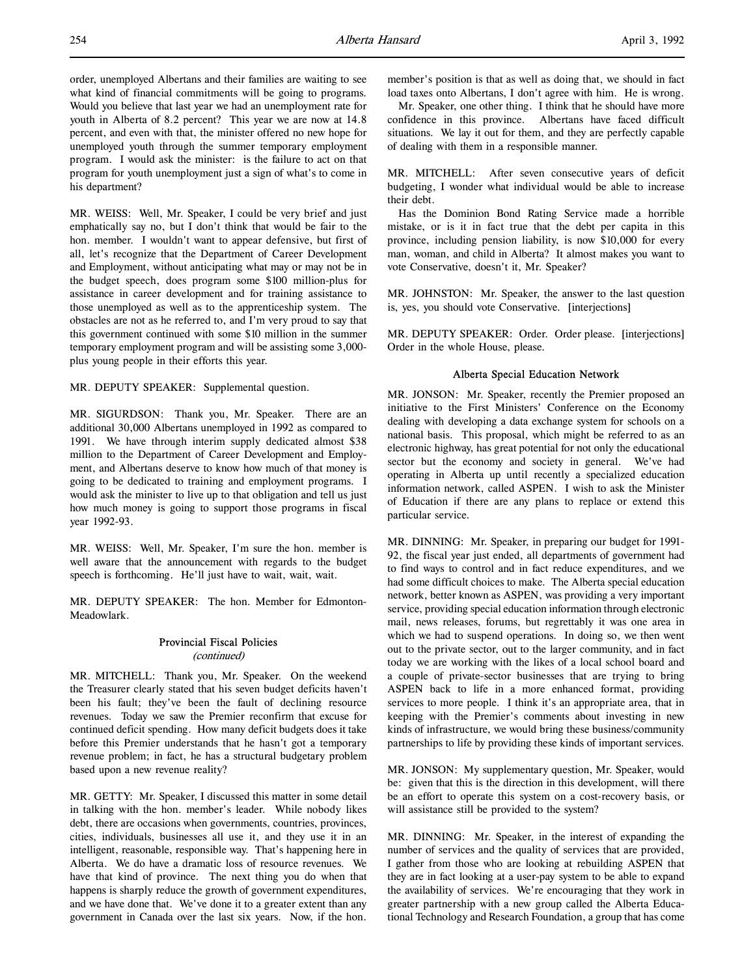order, unemployed Albertans and their families are waiting to see what kind of financial commitments will be going to programs. Would you believe that last year we had an unemployment rate for youth in Alberta of 8.2 percent? This year we are now at 14.8 percent, and even with that, the minister offered no new hope for unemployed youth through the summer temporary employment program. I would ask the minister: is the failure to act on that program for youth unemployment just a sign of what's to come in his department?

MR. WEISS: Well, Mr. Speaker, I could be very brief and just emphatically say no, but I don't think that would be fair to the hon. member. I wouldn't want to appear defensive, but first of all, let's recognize that the Department of Career Development and Employment, without anticipating what may or may not be in the budget speech, does program some \$100 million-plus for assistance in career development and for training assistance to those unemployed as well as to the apprenticeship system. The obstacles are not as he referred to, and I'm very proud to say that this government continued with some \$10 million in the summer temporary employment program and will be assisting some 3,000 plus young people in their efforts this year.

MR. DEPUTY SPEAKER: Supplemental question.

MR. SIGURDSON: Thank you, Mr. Speaker. There are an additional 30,000 Albertans unemployed in 1992 as compared to 1991. We have through interim supply dedicated almost \$38 million to the Department of Career Development and Employment, and Albertans deserve to know how much of that money is going to be dedicated to training and employment programs. I would ask the minister to live up to that obligation and tell us just how much money is going to support those programs in fiscal year 1992-93.

MR. WEISS: Well, Mr. Speaker, I'm sure the hon. member is well aware that the announcement with regards to the budget speech is forthcoming. He'll just have to wait, wait, wait.

MR. DEPUTY SPEAKER: The hon. Member for Edmonton-Meadowlark.

# Provincial Fiscal Policies

(continued)

MR. MITCHELL: Thank you, Mr. Speaker. On the weekend the Treasurer clearly stated that his seven budget deficits haven't been his fault; they've been the fault of declining resource revenues. Today we saw the Premier reconfirm that excuse for continued deficit spending. How many deficit budgets does it take before this Premier understands that he hasn't got a temporary revenue problem; in fact, he has a structural budgetary problem based upon a new revenue reality?

MR. GETTY: Mr. Speaker, I discussed this matter in some detail in talking with the hon. member's leader. While nobody likes debt, there are occasions when governments, countries, provinces, cities, individuals, businesses all use it, and they use it in an intelligent, reasonable, responsible way. That's happening here in Alberta. We do have a dramatic loss of resource revenues. We have that kind of province. The next thing you do when that happens is sharply reduce the growth of government expenditures, and we have done that. We've done it to a greater extent than any government in Canada over the last six years. Now, if the hon.

member's position is that as well as doing that, we should in fact load taxes onto Albertans, I don't agree with him. He is wrong.

Mr. Speaker, one other thing. I think that he should have more confidence in this province. Albertans have faced difficult situations. We lay it out for them, and they are perfectly capable of dealing with them in a responsible manner.

MR. MITCHELL: After seven consecutive years of deficit budgeting, I wonder what individual would be able to increase their debt.

Has the Dominion Bond Rating Service made a horrible mistake, or is it in fact true that the debt per capita in this province, including pension liability, is now \$10,000 for every man, woman, and child in Alberta? It almost makes you want to vote Conservative, doesn't it, Mr. Speaker?

MR. JOHNSTON: Mr. Speaker, the answer to the last question is, yes, you should vote Conservative. [interjections]

MR. DEPUTY SPEAKER: Order. Order please. [interjections] Order in the whole House, please.

## Alberta Special Education Network

MR. JONSON: Mr. Speaker, recently the Premier proposed an initiative to the First Ministers' Conference on the Economy dealing with developing a data exchange system for schools on a national basis. This proposal, which might be referred to as an electronic highway, has great potential for not only the educational sector but the economy and society in general. We've had operating in Alberta up until recently a specialized education information network, called ASPEN. I wish to ask the Minister of Education if there are any plans to replace or extend this particular service.

MR. DINNING: Mr. Speaker, in preparing our budget for 1991- 92, the fiscal year just ended, all departments of government had to find ways to control and in fact reduce expenditures, and we had some difficult choices to make. The Alberta special education network, better known as ASPEN, was providing a very important service, providing special education information through electronic mail, news releases, forums, but regrettably it was one area in which we had to suspend operations. In doing so, we then went out to the private sector, out to the larger community, and in fact today we are working with the likes of a local school board and a couple of private-sector businesses that are trying to bring ASPEN back to life in a more enhanced format, providing services to more people. I think it's an appropriate area, that in keeping with the Premier's comments about investing in new kinds of infrastructure, we would bring these business/community partnerships to life by providing these kinds of important services.

MR. JONSON: My supplementary question, Mr. Speaker, would be: given that this is the direction in this development, will there be an effort to operate this system on a cost-recovery basis, or will assistance still be provided to the system?

MR. DINNING: Mr. Speaker, in the interest of expanding the number of services and the quality of services that are provided, I gather from those who are looking at rebuilding ASPEN that they are in fact looking at a user-pay system to be able to expand the availability of services. We're encouraging that they work in greater partnership with a new group called the Alberta Educational Technology and Research Foundation, a group that has come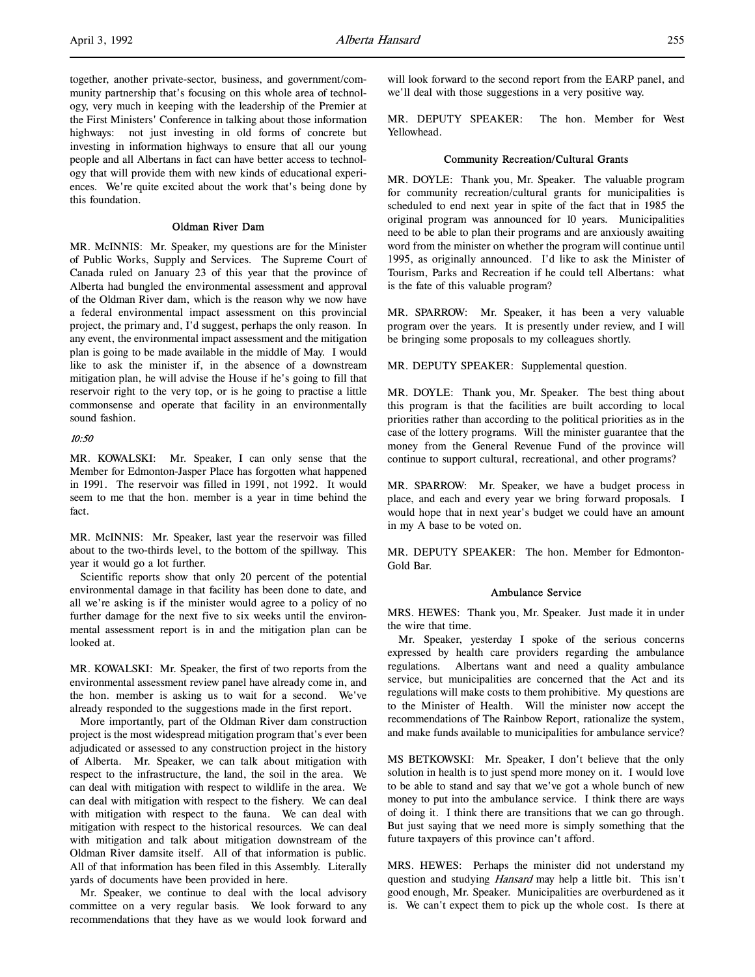together, another private-sector, business, and government/community partnership that's focusing on this whole area of technology, very much in keeping with the leadership of the Premier at the First Ministers' Conference in talking about those information highways: not just investing in old forms of concrete but investing in information highways to ensure that all our young people and all Albertans in fact can have better access to technology that will provide them with new kinds of educational experiences. We're quite excited about the work that's being done by this foundation.

## Oldman River Dam

MR. McINNIS: Mr. Speaker, my questions are for the Minister of Public Works, Supply and Services. The Supreme Court of Canada ruled on January 23 of this year that the province of Alberta had bungled the environmental assessment and approval of the Oldman River dam, which is the reason why we now have a federal environmental impact assessment on this provincial project, the primary and, I'd suggest, perhaps the only reason. In any event, the environmental impact assessment and the mitigation plan is going to be made available in the middle of May. I would like to ask the minister if, in the absence of a downstream mitigation plan, he will advise the House if he's going to fill that reservoir right to the very top, or is he going to practise a little commonsense and operate that facility in an environmentally sound fashion.

## 10:50

MR. KOWALSKI: Mr. Speaker, I can only sense that the Member for Edmonton-Jasper Place has forgotten what happened in 1991. The reservoir was filled in 1991, not 1992. It would seem to me that the hon. member is a year in time behind the fact.

MR. McINNIS: Mr. Speaker, last year the reservoir was filled about to the two-thirds level, to the bottom of the spillway. This year it would go a lot further.

Scientific reports show that only 20 percent of the potential environmental damage in that facility has been done to date, and all we're asking is if the minister would agree to a policy of no further damage for the next five to six weeks until the environmental assessment report is in and the mitigation plan can be looked at.

MR. KOWALSKI: Mr. Speaker, the first of two reports from the environmental assessment review panel have already come in, and the hon. member is asking us to wait for a second. We've already responded to the suggestions made in the first report.

More importantly, part of the Oldman River dam construction project is the most widespread mitigation program that's ever been adjudicated or assessed to any construction project in the history of Alberta. Mr. Speaker, we can talk about mitigation with respect to the infrastructure, the land, the soil in the area. We can deal with mitigation with respect to wildlife in the area. We can deal with mitigation with respect to the fishery. We can deal with mitigation with respect to the fauna. We can deal with mitigation with respect to the historical resources. We can deal with mitigation and talk about mitigation downstream of the Oldman River damsite itself. All of that information is public. All of that information has been filed in this Assembly. Literally yards of documents have been provided in here.

Mr. Speaker, we continue to deal with the local advisory committee on a very regular basis. We look forward to any recommendations that they have as we would look forward and will look forward to the second report from the EARP panel, and we'll deal with those suggestions in a very positive way.

MR. DEPUTY SPEAKER: The hon. Member for West Yellowhead.

#### Community Recreation/Cultural Grants

MR. DOYLE: Thank you, Mr. Speaker. The valuable program for community recreation/cultural grants for municipalities is scheduled to end next year in spite of the fact that in 1985 the original program was announced for 10 years. Municipalities need to be able to plan their programs and are anxiously awaiting word from the minister on whether the program will continue until 1995, as originally announced. I'd like to ask the Minister of Tourism, Parks and Recreation if he could tell Albertans: what is the fate of this valuable program?

MR. SPARROW: Mr. Speaker, it has been a very valuable program over the years. It is presently under review, and I will be bringing some proposals to my colleagues shortly.

MR. DEPUTY SPEAKER: Supplemental question.

MR. DOYLE: Thank you, Mr. Speaker. The best thing about this program is that the facilities are built according to local priorities rather than according to the political priorities as in the case of the lottery programs. Will the minister guarantee that the money from the General Revenue Fund of the province will continue to support cultural, recreational, and other programs?

MR. SPARROW: Mr. Speaker, we have a budget process in place, and each and every year we bring forward proposals. I would hope that in next year's budget we could have an amount in my A base to be voted on.

MR. DEPUTY SPEAKER: The hon. Member for Edmonton-Gold Bar.

#### Ambulance Service

MRS. HEWES: Thank you, Mr. Speaker. Just made it in under the wire that time.

Mr. Speaker, yesterday I spoke of the serious concerns expressed by health care providers regarding the ambulance regulations. Albertans want and need a quality ambulance service, but municipalities are concerned that the Act and its regulations will make costs to them prohibitive. My questions are to the Minister of Health. Will the minister now accept the recommendations of The Rainbow Report, rationalize the system, and make funds available to municipalities for ambulance service?

MS BETKOWSKI: Mr. Speaker, I don't believe that the only solution in health is to just spend more money on it. I would love to be able to stand and say that we've got a whole bunch of new money to put into the ambulance service. I think there are ways of doing it. I think there are transitions that we can go through. But just saying that we need more is simply something that the future taxpayers of this province can't afford.

MRS. HEWES: Perhaps the minister did not understand my question and studying *Hansard* may help a little bit. This isn't good enough, Mr. Speaker. Municipalities are overburdened as it is. We can't expect them to pick up the whole cost. Is there at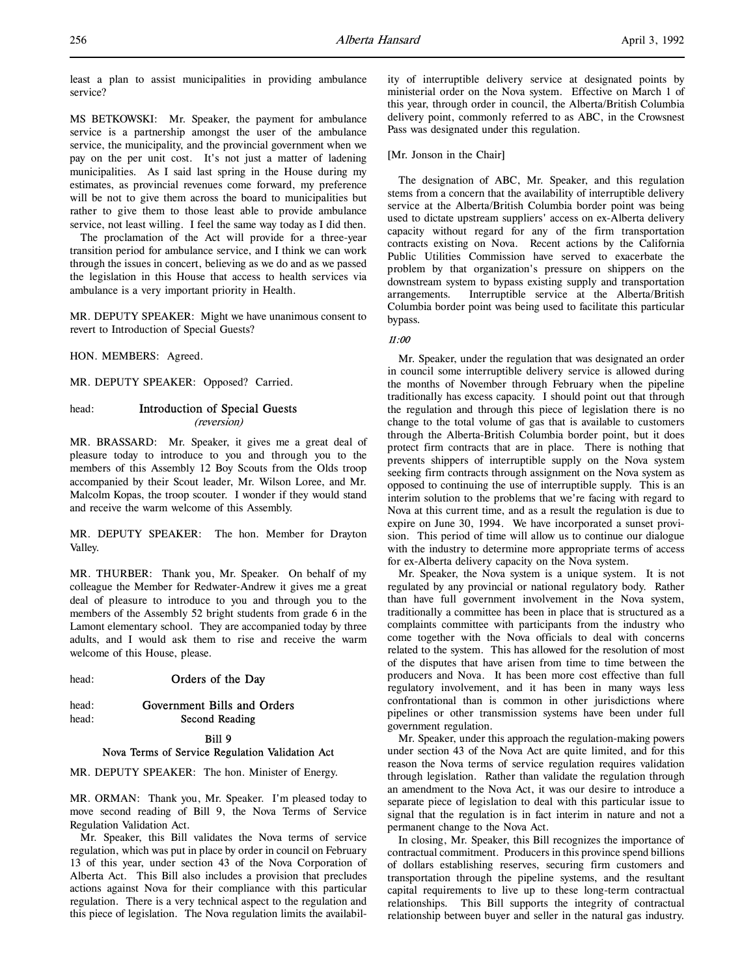MS BETKOWSKI: Mr. Speaker, the payment for ambulance service is a partnership amongst the user of the ambulance service, the municipality, and the provincial government when we pay on the per unit cost. It's not just a matter of ladening municipalities. As I said last spring in the House during my estimates, as provincial revenues come forward, my preference will be not to give them across the board to municipalities but rather to give them to those least able to provide ambulance service, not least willing. I feel the same way today as I did then.

The proclamation of the Act will provide for a three-year transition period for ambulance service, and I think we can work through the issues in concert, believing as we do and as we passed the legislation in this House that access to health services via ambulance is a very important priority in Health.

MR. DEPUTY SPEAKER: Might we have unanimous consent to revert to Introduction of Special Guests?

HON. MEMBERS: Agreed.

MR. DEPUTY SPEAKER: Opposed? Carried.

# head: Introduction of Special Guests

(reversion)

MR. BRASSARD: Mr. Speaker, it gives me a great deal of pleasure today to introduce to you and through you to the members of this Assembly 12 Boy Scouts from the Olds troop accompanied by their Scout leader, Mr. Wilson Loree, and Mr. Malcolm Kopas, the troop scouter. I wonder if they would stand and receive the warm welcome of this Assembly.

MR. DEPUTY SPEAKER: The hon. Member for Drayton Valley.

MR. THURBER: Thank you, Mr. Speaker. On behalf of my colleague the Member for Redwater-Andrew it gives me a great deal of pleasure to introduce to you and through you to the members of the Assembly 52 bright students from grade 6 in the Lamont elementary school. They are accompanied today by three adults, and I would ask them to rise and receive the warm welcome of this House, please.

head: **Orders of the Day** 

## head: Government Bills and Orders head: **Second Reading**

## Bill 9 Nova Terms of Service Regulation Validation Act

MR. DEPUTY SPEAKER: The hon. Minister of Energy.

MR. ORMAN: Thank you, Mr. Speaker. I'm pleased today to move second reading of Bill 9, the Nova Terms of Service Regulation Validation Act.

Mr. Speaker, this Bill validates the Nova terms of service regulation, which was put in place by order in council on February 13 of this year, under section 43 of the Nova Corporation of Alberta Act. This Bill also includes a provision that precludes actions against Nova for their compliance with this particular regulation. There is a very technical aspect to the regulation and this piece of legislation. The Nova regulation limits the availability of interruptible delivery service at designated points by ministerial order on the Nova system. Effective on March 1 of this year, through order in council, the Alberta/British Columbia delivery point, commonly referred to as ABC, in the Crowsnest Pass was designated under this regulation.

[Mr. Jonson in the Chair]

The designation of ABC, Mr. Speaker, and this regulation stems from a concern that the availability of interruptible delivery service at the Alberta/British Columbia border point was being used to dictate upstream suppliers' access on ex-Alberta delivery capacity without regard for any of the firm transportation contracts existing on Nova. Recent actions by the California Public Utilities Commission have served to exacerbate the problem by that organization's pressure on shippers on the downstream system to bypass existing supply and transportation arrangements. Interruptible service at the Alberta/British Columbia border point was being used to facilitate this particular bypass.

## 11:00

Mr. Speaker, under the regulation that was designated an order in council some interruptible delivery service is allowed during the months of November through February when the pipeline traditionally has excess capacity. I should point out that through the regulation and through this piece of legislation there is no change to the total volume of gas that is available to customers through the Alberta-British Columbia border point, but it does protect firm contracts that are in place. There is nothing that prevents shippers of interruptible supply on the Nova system seeking firm contracts through assignment on the Nova system as opposed to continuing the use of interruptible supply. This is an interim solution to the problems that we're facing with regard to Nova at this current time, and as a result the regulation is due to expire on June 30, 1994. We have incorporated a sunset provision. This period of time will allow us to continue our dialogue with the industry to determine more appropriate terms of access for ex-Alberta delivery capacity on the Nova system.

Mr. Speaker, the Nova system is a unique system. It is not regulated by any provincial or national regulatory body. Rather than have full government involvement in the Nova system, traditionally a committee has been in place that is structured as a complaints committee with participants from the industry who come together with the Nova officials to deal with concerns related to the system. This has allowed for the resolution of most of the disputes that have arisen from time to time between the producers and Nova. It has been more cost effective than full regulatory involvement, and it has been in many ways less confrontational than is common in other jurisdictions where pipelines or other transmission systems have been under full government regulation.

Mr. Speaker, under this approach the regulation-making powers under section 43 of the Nova Act are quite limited, and for this reason the Nova terms of service regulation requires validation through legislation. Rather than validate the regulation through an amendment to the Nova Act, it was our desire to introduce a separate piece of legislation to deal with this particular issue to signal that the regulation is in fact interim in nature and not a permanent change to the Nova Act.

In closing, Mr. Speaker, this Bill recognizes the importance of contractual commitment. Producers in this province spend billions of dollars establishing reserves, securing firm customers and transportation through the pipeline systems, and the resultant capital requirements to live up to these long-term contractual relationships. This Bill supports the integrity of contractual relationship between buyer and seller in the natural gas industry.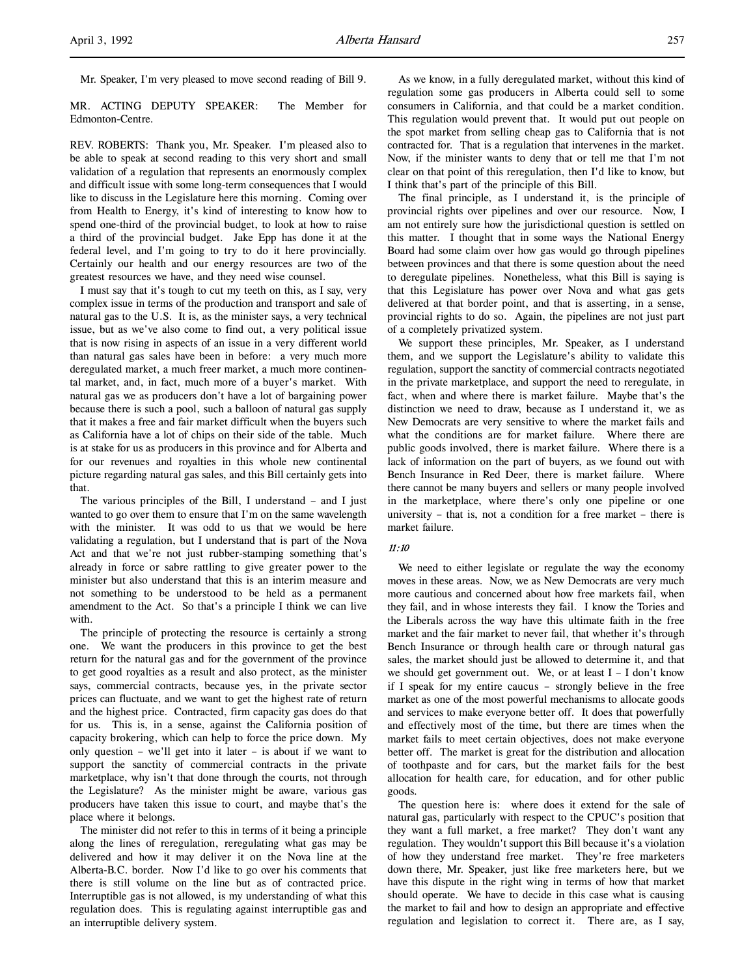Mr. Speaker, I'm very pleased to move second reading of Bill 9.

MR. ACTING DEPUTY SPEAKER: The Member for Edmonton-Centre.

REV. ROBERTS: Thank you, Mr. Speaker. I'm pleased also to be able to speak at second reading to this very short and small validation of a regulation that represents an enormously complex and difficult issue with some long-term consequences that I would like to discuss in the Legislature here this morning. Coming over from Health to Energy, it's kind of interesting to know how to spend one-third of the provincial budget, to look at how to raise a third of the provincial budget. Jake Epp has done it at the federal level, and I'm going to try to do it here provincially. Certainly our health and our energy resources are two of the greatest resources we have, and they need wise counsel.

I must say that it's tough to cut my teeth on this, as I say, very complex issue in terms of the production and transport and sale of natural gas to the U.S. It is, as the minister says, a very technical issue, but as we've also come to find out, a very political issue that is now rising in aspects of an issue in a very different world than natural gas sales have been in before: a very much more deregulated market, a much freer market, a much more continental market, and, in fact, much more of a buyer's market. With natural gas we as producers don't have a lot of bargaining power because there is such a pool, such a balloon of natural gas supply that it makes a free and fair market difficult when the buyers such as California have a lot of chips on their side of the table. Much is at stake for us as producers in this province and for Alberta and for our revenues and royalties in this whole new continental picture regarding natural gas sales, and this Bill certainly gets into that.

The various principles of the Bill, I understand – and I just wanted to go over them to ensure that I'm on the same wavelength with the minister. It was odd to us that we would be here validating a regulation, but I understand that is part of the Nova Act and that we're not just rubber-stamping something that's already in force or sabre rattling to give greater power to the minister but also understand that this is an interim measure and not something to be understood to be held as a permanent amendment to the Act. So that's a principle I think we can live with.

The principle of protecting the resource is certainly a strong one. We want the producers in this province to get the best return for the natural gas and for the government of the province to get good royalties as a result and also protect, as the minister says, commercial contracts, because yes, in the private sector prices can fluctuate, and we want to get the highest rate of return and the highest price. Contracted, firm capacity gas does do that for us. This is, in a sense, against the California position of capacity brokering, which can help to force the price down. My only question – we'll get into it later – is about if we want to support the sanctity of commercial contracts in the private marketplace, why isn't that done through the courts, not through the Legislature? As the minister might be aware, various gas producers have taken this issue to court, and maybe that's the place where it belongs.

The minister did not refer to this in terms of it being a principle along the lines of reregulation, reregulating what gas may be delivered and how it may deliver it on the Nova line at the Alberta-B.C. border. Now I'd like to go over his comments that there is still volume on the line but as of contracted price. Interruptible gas is not allowed, is my understanding of what this regulation does. This is regulating against interruptible gas and an interruptible delivery system.

As we know, in a fully deregulated market, without this kind of regulation some gas producers in Alberta could sell to some consumers in California, and that could be a market condition. This regulation would prevent that. It would put out people on the spot market from selling cheap gas to California that is not contracted for. That is a regulation that intervenes in the market. Now, if the minister wants to deny that or tell me that I'm not clear on that point of this reregulation, then I'd like to know, but I think that's part of the principle of this Bill.

The final principle, as I understand it, is the principle of provincial rights over pipelines and over our resource. Now, I am not entirely sure how the jurisdictional question is settled on this matter. I thought that in some ways the National Energy Board had some claim over how gas would go through pipelines between provinces and that there is some question about the need to deregulate pipelines. Nonetheless, what this Bill is saying is that this Legislature has power over Nova and what gas gets delivered at that border point, and that is asserting, in a sense, provincial rights to do so. Again, the pipelines are not just part of a completely privatized system.

We support these principles, Mr. Speaker, as I understand them, and we support the Legislature's ability to validate this regulation, support the sanctity of commercial contracts negotiated in the private marketplace, and support the need to reregulate, in fact, when and where there is market failure. Maybe that's the distinction we need to draw, because as I understand it, we as New Democrats are very sensitive to where the market fails and what the conditions are for market failure. Where there are public goods involved, there is market failure. Where there is a lack of information on the part of buyers, as we found out with Bench Insurance in Red Deer, there is market failure. Where there cannot be many buyers and sellers or many people involved in the marketplace, where there's only one pipeline or one university – that is, not a condition for a free market – there is market failure.

## 11:10

We need to either legislate or regulate the way the economy moves in these areas. Now, we as New Democrats are very much more cautious and concerned about how free markets fail, when they fail, and in whose interests they fail. I know the Tories and the Liberals across the way have this ultimate faith in the free market and the fair market to never fail, that whether it's through Bench Insurance or through health care or through natural gas sales, the market should just be allowed to determine it, and that we should get government out. We, or at least I – I don't know if I speak for my entire caucus – strongly believe in the free market as one of the most powerful mechanisms to allocate goods and services to make everyone better off. It does that powerfully and effectively most of the time, but there are times when the market fails to meet certain objectives, does not make everyone better off. The market is great for the distribution and allocation of toothpaste and for cars, but the market fails for the best allocation for health care, for education, and for other public goods.

The question here is: where does it extend for the sale of natural gas, particularly with respect to the CPUC's position that they want a full market, a free market? They don't want any regulation. They wouldn't support this Bill because it's a violation of how they understand free market. They're free marketers down there, Mr. Speaker, just like free marketers here, but we have this dispute in the right wing in terms of how that market should operate. We have to decide in this case what is causing the market to fail and how to design an appropriate and effective regulation and legislation to correct it. There are, as I say,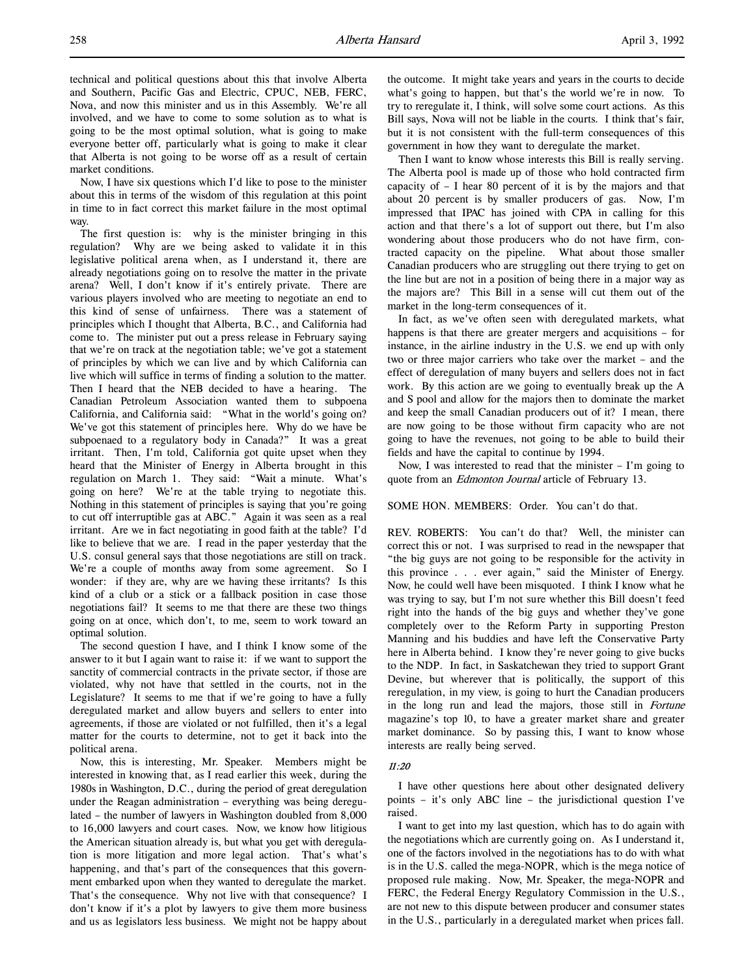technical and political questions about this that involve Alberta and Southern, Pacific Gas and Electric, CPUC, NEB, FERC, Nova, and now this minister and us in this Assembly. We're all involved, and we have to come to some solution as to what is going to be the most optimal solution, what is going to make everyone better off, particularly what is going to make it clear that Alberta is not going to be worse off as a result of certain market conditions.

Now, I have six questions which I'd like to pose to the minister about this in terms of the wisdom of this regulation at this point in time to in fact correct this market failure in the most optimal way.

The first question is: why is the minister bringing in this regulation? Why are we being asked to validate it in this legislative political arena when, as I understand it, there are already negotiations going on to resolve the matter in the private arena? Well, I don't know if it's entirely private. There are various players involved who are meeting to negotiate an end to this kind of sense of unfairness. There was a statement of principles which I thought that Alberta, B.C., and California had come to. The minister put out a press release in February saying that we're on track at the negotiation table; we've got a statement of principles by which we can live and by which California can live which will suffice in terms of finding a solution to the matter. Then I heard that the NEB decided to have a hearing. The Canadian Petroleum Association wanted them to subpoena California, and California said: "What in the world's going on? We've got this statement of principles here. Why do we have be subpoenaed to a regulatory body in Canada?" It was a great irritant. Then, I'm told, California got quite upset when they heard that the Minister of Energy in Alberta brought in this regulation on March 1. They said: "Wait a minute. What's going on here? We're at the table trying to negotiate this. Nothing in this statement of principles is saying that you're going to cut off interruptible gas at ABC." Again it was seen as a real irritant. Are we in fact negotiating in good faith at the table? I'd like to believe that we are. I read in the paper yesterday that the U.S. consul general says that those negotiations are still on track. We're a couple of months away from some agreement. So I wonder: if they are, why are we having these irritants? Is this kind of a club or a stick or a fallback position in case those negotiations fail? It seems to me that there are these two things going on at once, which don't, to me, seem to work toward an optimal solution.

The second question I have, and I think I know some of the answer to it but I again want to raise it: if we want to support the sanctity of commercial contracts in the private sector, if those are violated, why not have that settled in the courts, not in the Legislature? It seems to me that if we're going to have a fully deregulated market and allow buyers and sellers to enter into agreements, if those are violated or not fulfilled, then it's a legal matter for the courts to determine, not to get it back into the political arena.

Now, this is interesting, Mr. Speaker. Members might be interested in knowing that, as I read earlier this week, during the 1980s in Washington, D.C., during the period of great deregulation under the Reagan administration – everything was being deregulated – the number of lawyers in Washington doubled from 8,000 to 16,000 lawyers and court cases. Now, we know how litigious the American situation already is, but what you get with deregulation is more litigation and more legal action. That's what's happening, and that's part of the consequences that this government embarked upon when they wanted to deregulate the market. That's the consequence. Why not live with that consequence? I don't know if it's a plot by lawyers to give them more business and us as legislators less business. We might not be happy about the outcome. It might take years and years in the courts to decide what's going to happen, but that's the world we're in now. To try to reregulate it, I think, will solve some court actions. As this Bill says, Nova will not be liable in the courts. I think that's fair, but it is not consistent with the full-term consequences of this government in how they want to deregulate the market.

Then I want to know whose interests this Bill is really serving. The Alberta pool is made up of those who hold contracted firm capacity of  $-$  I hear 80 percent of it is by the majors and that about 20 percent is by smaller producers of gas. Now, I'm impressed that IPAC has joined with CPA in calling for this action and that there's a lot of support out there, but I'm also wondering about those producers who do not have firm, contracted capacity on the pipeline. What about those smaller Canadian producers who are struggling out there trying to get on the line but are not in a position of being there in a major way as the majors are? This Bill in a sense will cut them out of the market in the long-term consequences of it.

In fact, as we've often seen with deregulated markets, what happens is that there are greater mergers and acquisitions – for instance, in the airline industry in the U.S. we end up with only two or three major carriers who take over the market – and the effect of deregulation of many buyers and sellers does not in fact work. By this action are we going to eventually break up the A and S pool and allow for the majors then to dominate the market and keep the small Canadian producers out of it? I mean, there are now going to be those without firm capacity who are not going to have the revenues, not going to be able to build their fields and have the capital to continue by 1994.

Now, I was interested to read that the minister – I'm going to quote from an *Edmonton Journal* article of February 13.

SOME HON. MEMBERS: Order. You can't do that.

REV. ROBERTS: You can't do that? Well, the minister can correct this or not. I was surprised to read in the newspaper that "the big guys are not going to be responsible for the activity in this province . . . ever again," said the Minister of Energy. Now, he could well have been misquoted. I think I know what he was trying to say, but I'm not sure whether this Bill doesn't feed right into the hands of the big guys and whether they've gone completely over to the Reform Party in supporting Preston Manning and his buddies and have left the Conservative Party here in Alberta behind. I know they're never going to give bucks to the NDP. In fact, in Saskatchewan they tried to support Grant Devine, but wherever that is politically, the support of this reregulation, in my view, is going to hurt the Canadian producers in the long run and lead the majors, those still in Fortune magazine's top 10, to have a greater market share and greater market dominance. So by passing this, I want to know whose interests are really being served.

## 11:20

I have other questions here about other designated delivery points – it's only ABC line – the jurisdictional question I've raised.

I want to get into my last question, which has to do again with the negotiations which are currently going on. As I understand it, one of the factors involved in the negotiations has to do with what is in the U.S. called the mega-NOPR, which is the mega notice of proposed rule making. Now, Mr. Speaker, the mega-NOPR and FERC, the Federal Energy Regulatory Commission in the U.S., are not new to this dispute between producer and consumer states in the U.S., particularly in a deregulated market when prices fall.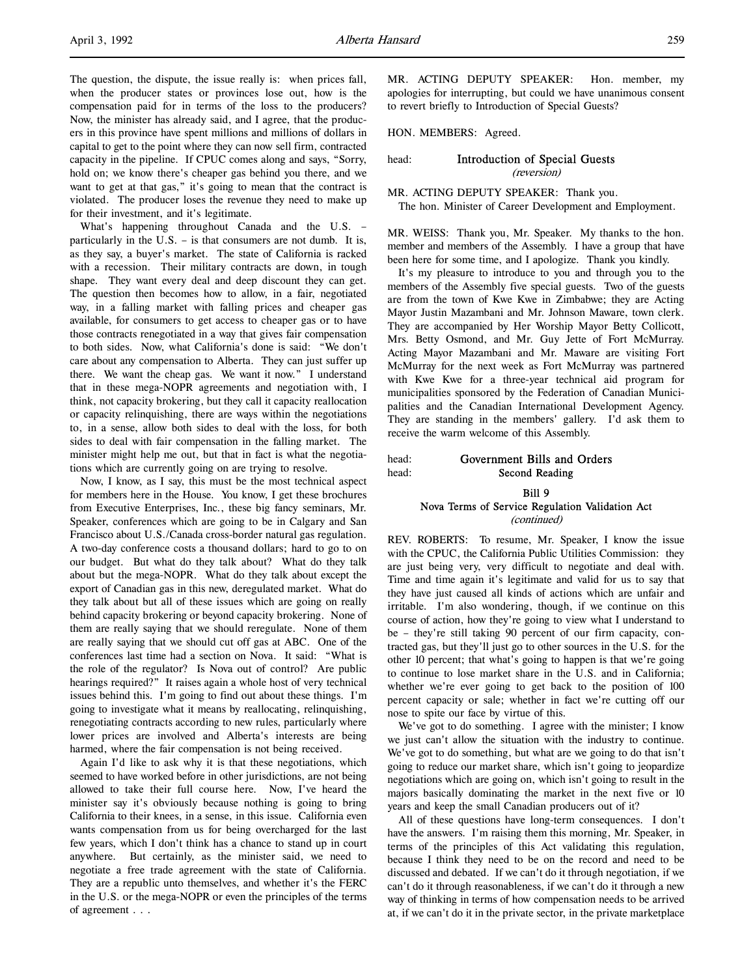The question, the dispute, the issue really is: when prices fall, when the producer states or provinces lose out, how is the compensation paid for in terms of the loss to the producers? Now, the minister has already said, and I agree, that the producers in this province have spent millions and millions of dollars in capital to get to the point where they can now sell firm, contracted capacity in the pipeline. If CPUC comes along and says, "Sorry, hold on; we know there's cheaper gas behind you there, and we want to get at that gas," it's going to mean that the contract is violated. The producer loses the revenue they need to make up for their investment, and it's legitimate.

What's happening throughout Canada and the U.S. – particularly in the U.S. – is that consumers are not dumb. It is, as they say, a buyer's market. The state of California is racked with a recession. Their military contracts are down, in tough shape. They want every deal and deep discount they can get. The question then becomes how to allow, in a fair, negotiated way, in a falling market with falling prices and cheaper gas available, for consumers to get access to cheaper gas or to have those contracts renegotiated in a way that gives fair compensation to both sides. Now, what California's done is said: "We don't care about any compensation to Alberta. They can just suffer up there. We want the cheap gas. We want it now." I understand that in these mega-NOPR agreements and negotiation with, I think, not capacity brokering, but they call it capacity reallocation or capacity relinquishing, there are ways within the negotiations to, in a sense, allow both sides to deal with the loss, for both sides to deal with fair compensation in the falling market. The minister might help me out, but that in fact is what the negotiations which are currently going on are trying to resolve.

Now, I know, as I say, this must be the most technical aspect for members here in the House. You know, I get these brochures from Executive Enterprises, Inc., these big fancy seminars, Mr. Speaker, conferences which are going to be in Calgary and San Francisco about U.S./Canada cross-border natural gas regulation. A two-day conference costs a thousand dollars; hard to go to on our budget. But what do they talk about? What do they talk about but the mega-NOPR. What do they talk about except the export of Canadian gas in this new, deregulated market. What do they talk about but all of these issues which are going on really behind capacity brokering or beyond capacity brokering. None of them are really saying that we should reregulate. None of them are really saying that we should cut off gas at ABC. One of the conferences last time had a section on Nova. It said: "What is the role of the regulator? Is Nova out of control? Are public hearings required?" It raises again a whole host of very technical issues behind this. I'm going to find out about these things. I'm going to investigate what it means by reallocating, relinquishing, renegotiating contracts according to new rules, particularly where lower prices are involved and Alberta's interests are being harmed, where the fair compensation is not being received.

Again I'd like to ask why it is that these negotiations, which seemed to have worked before in other jurisdictions, are not being allowed to take their full course here. Now, I've heard the minister say it's obviously because nothing is going to bring California to their knees, in a sense, in this issue. California even wants compensation from us for being overcharged for the last few years, which I don't think has a chance to stand up in court anywhere. But certainly, as the minister said, we need to negotiate a free trade agreement with the state of California. They are a republic unto themselves, and whether it's the FERC in the U.S. or the mega-NOPR or even the principles of the terms of agreement . . .

MR. ACTING DEPUTY SPEAKER: Hon. member, my apologies for interrupting, but could we have unanimous consent to revert briefly to Introduction of Special Guests?

HON. MEMBERS: Agreed.

## head: **Introduction of Special Guests** (reversion)

MR. ACTING DEPUTY SPEAKER: Thank you. The hon. Minister of Career Development and Employment.

MR. WEISS: Thank you, Mr. Speaker. My thanks to the hon. member and members of the Assembly. I have a group that have been here for some time, and I apologize. Thank you kindly.

It's my pleasure to introduce to you and through you to the members of the Assembly five special guests. Two of the guests are from the town of Kwe Kwe in Zimbabwe; they are Acting Mayor Justin Mazambani and Mr. Johnson Maware, town clerk. They are accompanied by Her Worship Mayor Betty Collicott, Mrs. Betty Osmond, and Mr. Guy Jette of Fort McMurray. Acting Mayor Mazambani and Mr. Maware are visiting Fort McMurray for the next week as Fort McMurray was partnered with Kwe Kwe for a three-year technical aid program for municipalities sponsored by the Federation of Canadian Municipalities and the Canadian International Development Agency. They are standing in the members' gallery. I'd ask them to receive the warm welcome of this Assembly.

# head: Government Bills and Orders head: **Second Reading**

## Bill 9 Nova Terms of Service Regulation Validation Act (continued)

REV. ROBERTS: To resume, Mr. Speaker, I know the issue with the CPUC, the California Public Utilities Commission: they are just being very, very difficult to negotiate and deal with. Time and time again it's legitimate and valid for us to say that they have just caused all kinds of actions which are unfair and irritable. I'm also wondering, though, if we continue on this course of action, how they're going to view what I understand to be – they're still taking 90 percent of our firm capacity, contracted gas, but they'll just go to other sources in the U.S. for the other 10 percent; that what's going to happen is that we're going to continue to lose market share in the U.S. and in California; whether we're ever going to get back to the position of 100 percent capacity or sale; whether in fact we're cutting off our nose to spite our face by virtue of this.

We've got to do something. I agree with the minister; I know we just can't allow the situation with the industry to continue. We've got to do something, but what are we going to do that isn't going to reduce our market share, which isn't going to jeopardize negotiations which are going on, which isn't going to result in the majors basically dominating the market in the next five or 10 years and keep the small Canadian producers out of it?

All of these questions have long-term consequences. I don't have the answers. I'm raising them this morning, Mr. Speaker, in terms of the principles of this Act validating this regulation, because I think they need to be on the record and need to be discussed and debated. If we can't do it through negotiation, if we can't do it through reasonableness, if we can't do it through a new way of thinking in terms of how compensation needs to be arrived at, if we can't do it in the private sector, in the private marketplace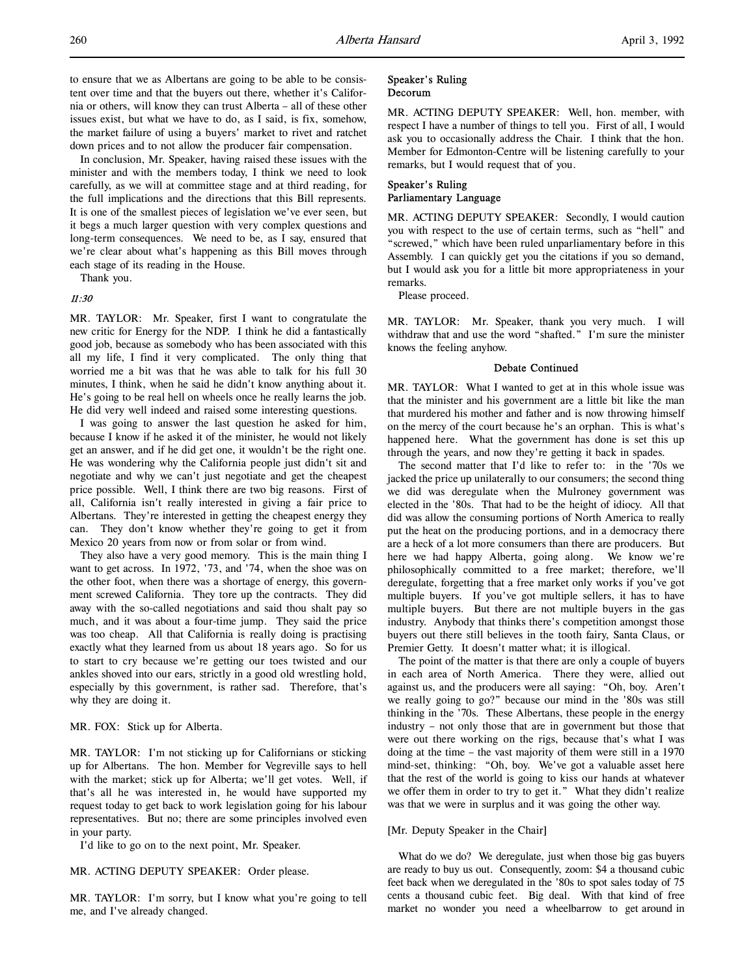to ensure that we as Albertans are going to be able to be consistent over time and that the buyers out there, whether it's California or others, will know they can trust Alberta – all of these other issues exist, but what we have to do, as I said, is fix, somehow, the market failure of using a buyers' market to rivet and ratchet down prices and to not allow the producer fair compensation.

In conclusion, Mr. Speaker, having raised these issues with the minister and with the members today, I think we need to look carefully, as we will at committee stage and at third reading, for the full implications and the directions that this Bill represents. It is one of the smallest pieces of legislation we've ever seen, but it begs a much larger question with very complex questions and long-term consequences. We need to be, as I say, ensured that we're clear about what's happening as this Bill moves through each stage of its reading in the House.

Thank you.

## 11:30

MR. TAYLOR: Mr. Speaker, first I want to congratulate the new critic for Energy for the NDP. I think he did a fantastically good job, because as somebody who has been associated with this all my life, I find it very complicated. The only thing that worried me a bit was that he was able to talk for his full 30 minutes, I think, when he said he didn't know anything about it. He's going to be real hell on wheels once he really learns the job. He did very well indeed and raised some interesting questions.

I was going to answer the last question he asked for him, because I know if he asked it of the minister, he would not likely get an answer, and if he did get one, it wouldn't be the right one. He was wondering why the California people just didn't sit and negotiate and why we can't just negotiate and get the cheapest price possible. Well, I think there are two big reasons. First of all, California isn't really interested in giving a fair price to Albertans. They're interested in getting the cheapest energy they can. They don't know whether they're going to get it from Mexico 20 years from now or from solar or from wind.

They also have a very good memory. This is the main thing I want to get across. In 1972, '73, and '74, when the shoe was on the other foot, when there was a shortage of energy, this government screwed California. They tore up the contracts. They did away with the so-called negotiations and said thou shalt pay so much, and it was about a four-time jump. They said the price was too cheap. All that California is really doing is practising exactly what they learned from us about 18 years ago. So for us to start to cry because we're getting our toes twisted and our ankles shoved into our ears, strictly in a good old wrestling hold, especially by this government, is rather sad. Therefore, that's why they are doing it.

## MR. FOX: Stick up for Alberta.

MR. TAYLOR: I'm not sticking up for Californians or sticking up for Albertans. The hon. Member for Vegreville says to hell with the market; stick up for Alberta; we'll get votes. Well, if that's all he was interested in, he would have supported my request today to get back to work legislation going for his labour representatives. But no; there are some principles involved even in your party.

I'd like to go on to the next point, Mr. Speaker.

#### MR. ACTING DEPUTY SPEAKER: Order please.

MR. TAYLOR: I'm sorry, but I know what you're going to tell me, and I've already changed.

## Speaker's Ruling Decorum

MR. ACTING DEPUTY SPEAKER: Well, hon. member, with respect I have a number of things to tell you. First of all, I would ask you to occasionally address the Chair. I think that the hon. Member for Edmonton-Centre will be listening carefully to your remarks, but I would request that of you.

## Speaker's Ruling Parliamentary Language

MR. ACTING DEPUTY SPEAKER: Secondly, I would caution you with respect to the use of certain terms, such as "hell" and "screwed," which have been ruled unparliamentary before in this Assembly. I can quickly get you the citations if you so demand, but I would ask you for a little bit more appropriateness in your remarks.

Please proceed.

MR. TAYLOR: Mr. Speaker, thank you very much. I will withdraw that and use the word "shafted." I'm sure the minister knows the feeling anyhow.

## Debate Continued

MR. TAYLOR: What I wanted to get at in this whole issue was that the minister and his government are a little bit like the man that murdered his mother and father and is now throwing himself on the mercy of the court because he's an orphan. This is what's happened here. What the government has done is set this up through the years, and now they're getting it back in spades.

The second matter that I'd like to refer to: in the '70s we jacked the price up unilaterally to our consumers; the second thing we did was deregulate when the Mulroney government was elected in the '80s. That had to be the height of idiocy. All that did was allow the consuming portions of North America to really put the heat on the producing portions, and in a democracy there are a heck of a lot more consumers than there are producers. But here we had happy Alberta, going along. We know we're philosophically committed to a free market; therefore, we'll deregulate, forgetting that a free market only works if you've got multiple buyers. If you've got multiple sellers, it has to have multiple buyers. But there are not multiple buyers in the gas industry. Anybody that thinks there's competition amongst those buyers out there still believes in the tooth fairy, Santa Claus, or Premier Getty. It doesn't matter what; it is illogical.

The point of the matter is that there are only a couple of buyers in each area of North America. There they were, allied out against us, and the producers were all saying: "Oh, boy. Aren't we really going to go?" because our mind in the '80s was still thinking in the '70s. These Albertans, these people in the energy industry – not only those that are in government but those that were out there working on the rigs, because that's what I was doing at the time – the vast majority of them were still in a 1970 mind-set, thinking: "Oh, boy. We've got a valuable asset here that the rest of the world is going to kiss our hands at whatever we offer them in order to try to get it." What they didn't realize was that we were in surplus and it was going the other way.

## [Mr. Deputy Speaker in the Chair]

What do we do? We deregulate, just when those big gas buyers are ready to buy us out. Consequently, zoom: \$4 a thousand cubic feet back when we deregulated in the '80s to spot sales today of 75 cents a thousand cubic feet. Big deal. With that kind of free market no wonder you need a wheelbarrow to get around in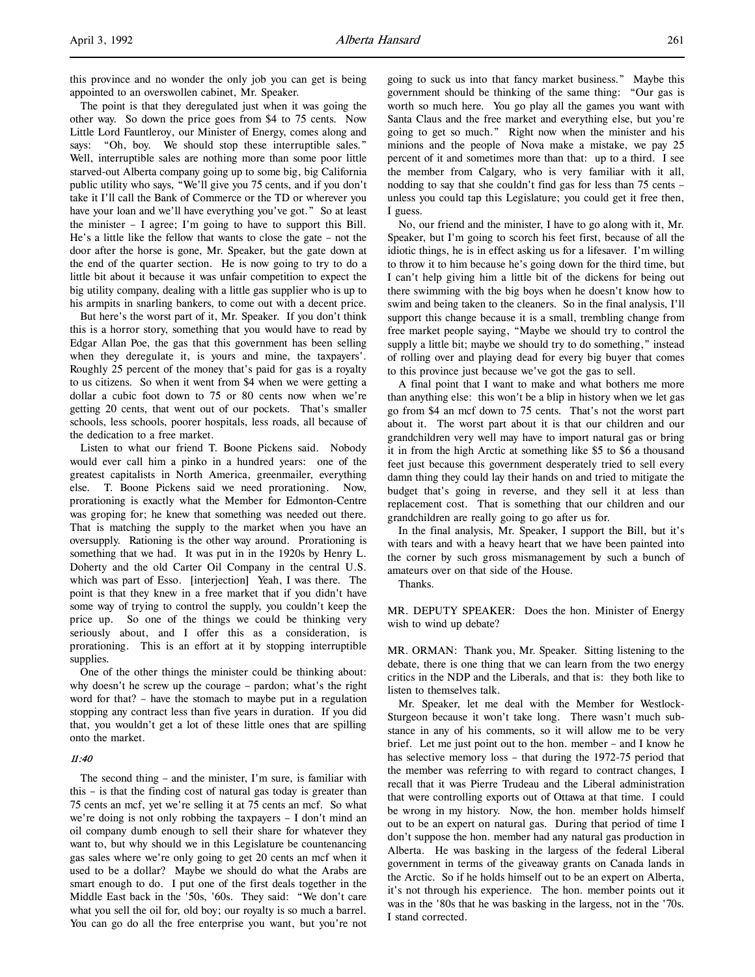this province and no wonder the only job you can get is being appointed to an overswollen cabinet, Mr. Speaker.

The point is that they deregulated just when it was going the other way. So down the price goes from \$4 to 75 cents. Now Little Lord Fauntleroy, our Minister of Energy, comes along and says: "Oh, boy. We should stop these interruptible sales." Well, interruptible sales are nothing more than some poor little starved-out Alberta company going up to some big, big California public utility who says, "We'll give you 75 cents, and if you don't take it I'll call the Bank of Commerce or the TD or wherever you have your loan and we'll have everything you've got." So at least the minister – I agree; I'm going to have to support this Bill. He's a little like the fellow that wants to close the gate – not the door after the horse is gone, Mr. Speaker, but the gate down at the end of the quarter section. He is now going to try to do a little bit about it because it was unfair competition to expect the big utility company, dealing with a little gas supplier who is up to his armpits in snarling bankers, to come out with a decent price.

But here's the worst part of it, Mr. Speaker. If you don't think this is a horror story, something that you would have to read by Edgar Allan Poe, the gas that this government has been selling when they deregulate it, is yours and mine, the taxpayers'. Roughly 25 percent of the money that's paid for gas is a royalty to us citizens. So when it went from \$4 when we were getting a dollar a cubic foot down to 75 or 80 cents now when we're getting 20 cents, that went out of our pockets. That's smaller schools, less schools, poorer hospitals, less roads, all because of the dedication to a free market.

Listen to what our friend T. Boone Pickens said. Nobody would ever call him a pinko in a hundred years: one of the greatest capitalists in North America, greenmailer, everything else. T. Boone Pickens said we need prorationing. Now, prorationing is exactly what the Member for Edmonton-Centre was groping for; he knew that something was needed out there. That is matching the supply to the market when you have an oversupply. Rationing is the other way around. Prorationing is something that we had. It was put in in the 1920s by Henry L. Doherty and the old Carter Oil Company in the central U.S. which was part of Esso. [interjection] Yeah, I was there. The point is that they knew in a free market that if you didn't have some way of trying to control the supply, you couldn't keep the price up. So one of the things we could be thinking very seriously about, and I offer this as a consideration, is prorationing. This is an effort at it by stopping interruptible supplies.

One of the other things the minister could be thinking about: why doesn't he screw up the courage – pardon; what's the right word for that? – have the stomach to maybe put in a regulation stopping any contract less than five years in duration. If you did that, you wouldn't get a lot of these little ones that are spilling onto the market.

## 11:40

The second thing – and the minister, I'm sure, is familiar with this – is that the finding cost of natural gas today is greater than 75 cents an mcf, yet we're selling it at 75 cents an mcf. So what we're doing is not only robbing the taxpayers – I don't mind an oil company dumb enough to sell their share for whatever they want to, but why should we in this Legislature be countenancing gas sales where we're only going to get 20 cents an mcf when it used to be a dollar? Maybe we should do what the Arabs are smart enough to do. I put one of the first deals together in the Middle East back in the '50s, '60s. They said: "We don't care what you sell the oil for, old boy; our royalty is so much a barrel. You can go do all the free enterprise you want, but you're not

going to suck us into that fancy market business." Maybe this government should be thinking of the same thing: "Our gas is worth so much here. You go play all the games you want with Santa Claus and the free market and everything else, but you're going to get so much." Right now when the minister and his minions and the people of Nova make a mistake, we pay 25 percent of it and sometimes more than that: up to a third. I see the member from Calgary, who is very familiar with it all, nodding to say that she couldn't find gas for less than 75 cents – unless you could tap this Legislature; you could get it free then, I guess.

No, our friend and the minister, I have to go along with it, Mr. Speaker, but I'm going to scorch his feet first, because of all the idiotic things, he is in effect asking us for a lifesaver. I'm willing to throw it to him because he's going down for the third time, but I can't help giving him a little bit of the dickens for being out there swimming with the big boys when he doesn't know how to swim and being taken to the cleaners. So in the final analysis, I'll support this change because it is a small, trembling change from free market people saying, "Maybe we should try to control the supply a little bit; maybe we should try to do something," instead of rolling over and playing dead for every big buyer that comes to this province just because we've got the gas to sell.

A final point that I want to make and what bothers me more than anything else: this won't be a blip in history when we let gas go from \$4 an mcf down to 75 cents. That's not the worst part about it. The worst part about it is that our children and our grandchildren very well may have to import natural gas or bring it in from the high Arctic at something like \$5 to \$6 a thousand feet just because this government desperately tried to sell every damn thing they could lay their hands on and tried to mitigate the budget that's going in reverse, and they sell it at less than replacement cost. That is something that our children and our grandchildren are really going to go after us for.

In the final analysis, Mr. Speaker, I support the Bill, but it's with tears and with a heavy heart that we have been painted into the corner by such gross mismanagement by such a bunch of amateurs over on that side of the House.

Thanks.

MR. DEPUTY SPEAKER: Does the hon. Minister of Energy wish to wind up debate?

MR. ORMAN: Thank you, Mr. Speaker. Sitting listening to the debate, there is one thing that we can learn from the two energy critics in the NDP and the Liberals, and that is: they both like to listen to themselves talk.

Mr. Speaker, let me deal with the Member for Westlock-Sturgeon because it won't take long. There wasn't much substance in any of his comments, so it will allow me to be very brief. Let me just point out to the hon. member – and I know he has selective memory loss – that during the 1972-75 period that the member was referring to with regard to contract changes, I recall that it was Pierre Trudeau and the Liberal administration that were controlling exports out of Ottawa at that time. I could be wrong in my history. Now, the hon. member holds himself out to be an expert on natural gas. During that period of time I don't suppose the hon. member had any natural gas production in Alberta. He was basking in the largess of the federal Liberal government in terms of the giveaway grants on Canada lands in the Arctic. So if he holds himself out to be an expert on Alberta, it's not through his experience. The hon. member points out it was in the '80s that he was basking in the largess, not in the '70s. I stand corrected.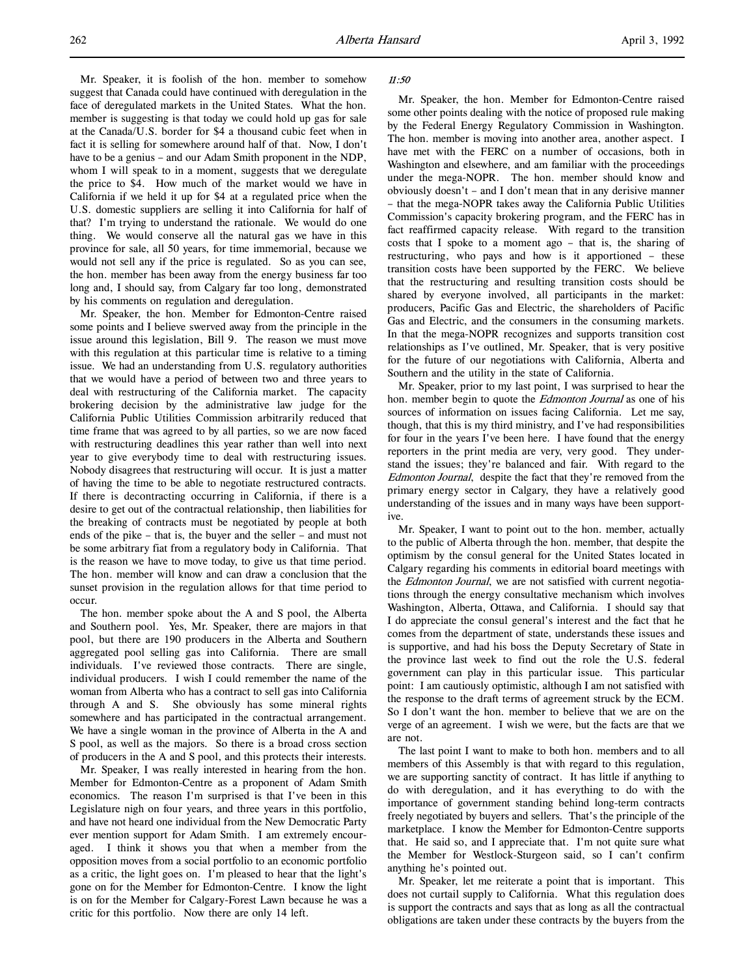Mr. Speaker, it is foolish of the hon. member to somehow suggest that Canada could have continued with deregulation in the face of deregulated markets in the United States. What the hon. member is suggesting is that today we could hold up gas for sale at the Canada/U.S. border for \$4 a thousand cubic feet when in fact it is selling for somewhere around half of that. Now, I don't have to be a genius – and our Adam Smith proponent in the NDP, whom I will speak to in a moment, suggests that we deregulate the price to \$4. How much of the market would we have in California if we held it up for \$4 at a regulated price when the U.S. domestic suppliers are selling it into California for half of that? I'm trying to understand the rationale. We would do one thing. We would conserve all the natural gas we have in this province for sale, all 50 years, for time immemorial, because we would not sell any if the price is regulated. So as you can see, the hon. member has been away from the energy business far too long and, I should say, from Calgary far too long, demonstrated by his comments on regulation and deregulation.

Mr. Speaker, the hon. Member for Edmonton-Centre raised some points and I believe swerved away from the principle in the issue around this legislation, Bill 9. The reason we must move with this regulation at this particular time is relative to a timing issue. We had an understanding from U.S. regulatory authorities that we would have a period of between two and three years to deal with restructuring of the California market. The capacity brokering decision by the administrative law judge for the California Public Utilities Commission arbitrarily reduced that time frame that was agreed to by all parties, so we are now faced with restructuring deadlines this year rather than well into next year to give everybody time to deal with restructuring issues. Nobody disagrees that restructuring will occur. It is just a matter of having the time to be able to negotiate restructured contracts. If there is decontracting occurring in California, if there is a desire to get out of the contractual relationship, then liabilities for the breaking of contracts must be negotiated by people at both ends of the pike – that is, the buyer and the seller – and must not be some arbitrary fiat from a regulatory body in California. That is the reason we have to move today, to give us that time period. The hon. member will know and can draw a conclusion that the sunset provision in the regulation allows for that time period to occur.

The hon. member spoke about the A and S pool, the Alberta and Southern pool. Yes, Mr. Speaker, there are majors in that pool, but there are 190 producers in the Alberta and Southern aggregated pool selling gas into California. There are small individuals. I've reviewed those contracts. There are single, individual producers. I wish I could remember the name of the woman from Alberta who has a contract to sell gas into California through A and S. She obviously has some mineral rights somewhere and has participated in the contractual arrangement. We have a single woman in the province of Alberta in the A and S pool, as well as the majors. So there is a broad cross section of producers in the A and S pool, and this protects their interests.

Mr. Speaker, I was really interested in hearing from the hon. Member for Edmonton-Centre as a proponent of Adam Smith economics. The reason I'm surprised is that I've been in this Legislature nigh on four years, and three years in this portfolio, and have not heard one individual from the New Democratic Party ever mention support for Adam Smith. I am extremely encouraged. I think it shows you that when a member from the opposition moves from a social portfolio to an economic portfolio as a critic, the light goes on. I'm pleased to hear that the light's gone on for the Member for Edmonton-Centre. I know the light is on for the Member for Calgary-Forest Lawn because he was a critic for this portfolio. Now there are only 14 left.

## 11:50

Mr. Speaker, the hon. Member for Edmonton-Centre raised some other points dealing with the notice of proposed rule making by the Federal Energy Regulatory Commission in Washington. The hon. member is moving into another area, another aspect. I have met with the FERC on a number of occasions, both in Washington and elsewhere, and am familiar with the proceedings under the mega-NOPR. The hon. member should know and obviously doesn't – and I don't mean that in any derisive manner – that the mega-NOPR takes away the California Public Utilities Commission's capacity brokering program, and the FERC has in fact reaffirmed capacity release. With regard to the transition costs that I spoke to a moment ago – that is, the sharing of restructuring, who pays and how is it apportioned – these transition costs have been supported by the FERC. We believe that the restructuring and resulting transition costs should be shared by everyone involved, all participants in the market: producers, Pacific Gas and Electric, the shareholders of Pacific Gas and Electric, and the consumers in the consuming markets. In that the mega-NOPR recognizes and supports transition cost relationships as I've outlined, Mr. Speaker, that is very positive for the future of our negotiations with California, Alberta and Southern and the utility in the state of California.

Mr. Speaker, prior to my last point, I was surprised to hear the hon. member begin to quote the *Edmonton Journal* as one of his sources of information on issues facing California. Let me say, though, that this is my third ministry, and I've had responsibilities for four in the years I've been here. I have found that the energy reporters in the print media are very, very good. They understand the issues; they're balanced and fair. With regard to the Edmonton Journal, despite the fact that they're removed from the primary energy sector in Calgary, they have a relatively good understanding of the issues and in many ways have been supportive.

Mr. Speaker, I want to point out to the hon. member, actually to the public of Alberta through the hon. member, that despite the optimism by the consul general for the United States located in Calgary regarding his comments in editorial board meetings with the Edmonton Journal, we are not satisfied with current negotiations through the energy consultative mechanism which involves Washington, Alberta, Ottawa, and California. I should say that I do appreciate the consul general's interest and the fact that he comes from the department of state, understands these issues and is supportive, and had his boss the Deputy Secretary of State in the province last week to find out the role the U.S. federal government can play in this particular issue. This particular point: I am cautiously optimistic, although I am not satisfied with the response to the draft terms of agreement struck by the ECM. So I don't want the hon. member to believe that we are on the verge of an agreement. I wish we were, but the facts are that we are not.

The last point I want to make to both hon. members and to all members of this Assembly is that with regard to this regulation, we are supporting sanctity of contract. It has little if anything to do with deregulation, and it has everything to do with the importance of government standing behind long-term contracts freely negotiated by buyers and sellers. That's the principle of the marketplace. I know the Member for Edmonton-Centre supports that. He said so, and I appreciate that. I'm not quite sure what the Member for Westlock-Sturgeon said, so I can't confirm anything he's pointed out.

Mr. Speaker, let me reiterate a point that is important. This does not curtail supply to California. What this regulation does is support the contracts and says that as long as all the contractual obligations are taken under these contracts by the buyers from the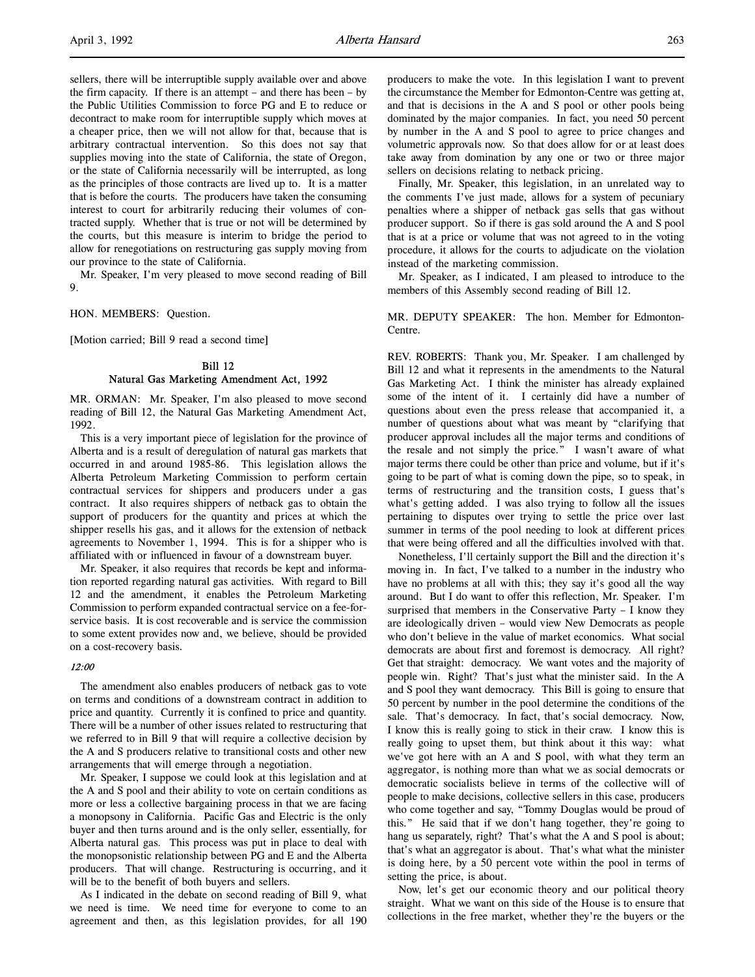sellers, there will be interruptible supply available over and above the firm capacity. If there is an attempt – and there has been – by the Public Utilities Commission to force PG and E to reduce or decontract to make room for interruptible supply which moves at a cheaper price, then we will not allow for that, because that is arbitrary contractual intervention. So this does not say that supplies moving into the state of California, the state of Oregon, or the state of California necessarily will be interrupted, as long as the principles of those contracts are lived up to. It is a matter that is before the courts. The producers have taken the consuming interest to court for arbitrarily reducing their volumes of contracted supply. Whether that is true or not will be determined by the courts, but this measure is interim to bridge the period to allow for renegotiations on restructuring gas supply moving from our province to the state of California.

Mr. Speaker, I'm very pleased to move second reading of Bill 9.

HON. MEMBERS: Question.

[Motion carried; Bill 9 read a second time]

## Bill 12 Natural Gas Marketing Amendment Act, 1992

MR. ORMAN: Mr. Speaker, I'm also pleased to move second reading of Bill 12, the Natural Gas Marketing Amendment Act, 1992.

This is a very important piece of legislation for the province of Alberta and is a result of deregulation of natural gas markets that occurred in and around 1985-86. This legislation allows the Alberta Petroleum Marketing Commission to perform certain contractual services for shippers and producers under a gas contract. It also requires shippers of netback gas to obtain the support of producers for the quantity and prices at which the shipper resells his gas, and it allows for the extension of netback agreements to November 1, 1994. This is for a shipper who is affiliated with or influenced in favour of a downstream buyer.

Mr. Speaker, it also requires that records be kept and information reported regarding natural gas activities. With regard to Bill 12 and the amendment, it enables the Petroleum Marketing Commission to perform expanded contractual service on a fee-forservice basis. It is cost recoverable and is service the commission to some extent provides now and, we believe, should be provided on a cost-recovery basis.

## 12:00

The amendment also enables producers of netback gas to vote on terms and conditions of a downstream contract in addition to price and quantity. Currently it is confined to price and quantity. There will be a number of other issues related to restructuring that we referred to in Bill 9 that will require a collective decision by the A and S producers relative to transitional costs and other new arrangements that will emerge through a negotiation.

Mr. Speaker, I suppose we could look at this legislation and at the A and S pool and their ability to vote on certain conditions as more or less a collective bargaining process in that we are facing a monopsony in California. Pacific Gas and Electric is the only buyer and then turns around and is the only seller, essentially, for Alberta natural gas. This process was put in place to deal with the monopsonistic relationship between PG and E and the Alberta producers. That will change. Restructuring is occurring, and it will be to the benefit of both buyers and sellers.

As I indicated in the debate on second reading of Bill 9, what we need is time. We need time for everyone to come to an agreement and then, as this legislation provides, for all 190

producers to make the vote. In this legislation I want to prevent the circumstance the Member for Edmonton-Centre was getting at, and that is decisions in the A and S pool or other pools being dominated by the major companies. In fact, you need 50 percent by number in the A and S pool to agree to price changes and volumetric approvals now. So that does allow for or at least does take away from domination by any one or two or three major sellers on decisions relating to netback pricing.

Finally, Mr. Speaker, this legislation, in an unrelated way to the comments I've just made, allows for a system of pecuniary penalties where a shipper of netback gas sells that gas without producer support. So if there is gas sold around the A and S pool that is at a price or volume that was not agreed to in the voting procedure, it allows for the courts to adjudicate on the violation instead of the marketing commission.

Mr. Speaker, as I indicated, I am pleased to introduce to the members of this Assembly second reading of Bill 12.

MR. DEPUTY SPEAKER: The hon. Member for Edmonton-Centre.

REV. ROBERTS: Thank you, Mr. Speaker. I am challenged by Bill 12 and what it represents in the amendments to the Natural Gas Marketing Act. I think the minister has already explained some of the intent of it. I certainly did have a number of questions about even the press release that accompanied it, a number of questions about what was meant by "clarifying that producer approval includes all the major terms and conditions of the resale and not simply the price." I wasn't aware of what major terms there could be other than price and volume, but if it's going to be part of what is coming down the pipe, so to speak, in terms of restructuring and the transition costs, I guess that's what's getting added. I was also trying to follow all the issues pertaining to disputes over trying to settle the price over last summer in terms of the pool needing to look at different prices that were being offered and all the difficulties involved with that.

Nonetheless, I'll certainly support the Bill and the direction it's moving in. In fact, I've talked to a number in the industry who have no problems at all with this; they say it's good all the way around. But I do want to offer this reflection, Mr. Speaker. I'm surprised that members in the Conservative Party – I know they are ideologically driven – would view New Democrats as people who don't believe in the value of market economics. What social democrats are about first and foremost is democracy. All right? Get that straight: democracy. We want votes and the majority of people win. Right? That's just what the minister said. In the A and S pool they want democracy. This Bill is going to ensure that 50 percent by number in the pool determine the conditions of the sale. That's democracy. In fact, that's social democracy. Now, I know this is really going to stick in their craw. I know this is really going to upset them, but think about it this way: what we've got here with an A and S pool, with what they term an aggregator, is nothing more than what we as social democrats or democratic socialists believe in terms of the collective will of people to make decisions, collective sellers in this case, producers who come together and say, "Tommy Douglas would be proud of this." He said that if we don't hang together, they're going to hang us separately, right? That's what the A and S pool is about; that's what an aggregator is about. That's what what the minister is doing here, by a 50 percent vote within the pool in terms of setting the price, is about.

Now, let's get our economic theory and our political theory straight. What we want on this side of the House is to ensure that collections in the free market, whether they're the buyers or the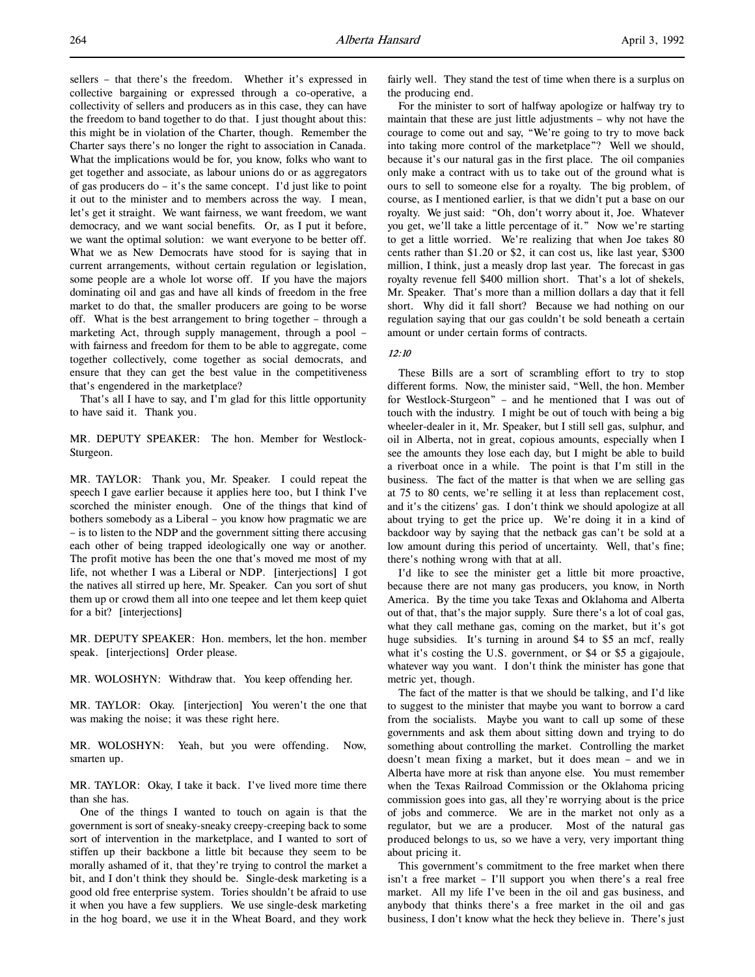sellers – that there's the freedom. Whether it's expressed in collective bargaining or expressed through a co-operative, a collectivity of sellers and producers as in this case, they can have the freedom to band together to do that. I just thought about this: this might be in violation of the Charter, though. Remember the Charter says there's no longer the right to association in Canada. What the implications would be for, you know, folks who want to get together and associate, as labour unions do or as aggregators of gas producers do – it's the same concept. I'd just like to point it out to the minister and to members across the way. I mean, let's get it straight. We want fairness, we want freedom, we want democracy, and we want social benefits. Or, as I put it before, we want the optimal solution: we want everyone to be better off. What we as New Democrats have stood for is saying that in current arrangements, without certain regulation or legislation, some people are a whole lot worse off. If you have the majors dominating oil and gas and have all kinds of freedom in the free market to do that, the smaller producers are going to be worse off. What is the best arrangement to bring together – through a marketing Act, through supply management, through a pool – with fairness and freedom for them to be able to aggregate, come together collectively, come together as social democrats, and ensure that they can get the best value in the competitiveness that's engendered in the marketplace?

That's all I have to say, and I'm glad for this little opportunity to have said it. Thank you.

MR. DEPUTY SPEAKER: The hon. Member for Westlock-Sturgeon.

MR. TAYLOR: Thank you, Mr. Speaker. I could repeat the speech I gave earlier because it applies here too, but I think I've scorched the minister enough. One of the things that kind of bothers somebody as a Liberal – you know how pragmatic we are – is to listen to the NDP and the government sitting there accusing each other of being trapped ideologically one way or another. The profit motive has been the one that's moved me most of my life, not whether I was a Liberal or NDP. [interjections] I got the natives all stirred up here, Mr. Speaker. Can you sort of shut them up or crowd them all into one teepee and let them keep quiet for a bit? [interjections]

MR. DEPUTY SPEAKER: Hon. members, let the hon. member speak. [interjections] Order please.

MR. WOLOSHYN: Withdraw that. You keep offending her.

MR. TAYLOR: Okay. [interjection] You weren't the one that was making the noise; it was these right here.

MR. WOLOSHYN: Yeah, but you were offending. Now, smarten up.

MR. TAYLOR: Okay, I take it back. I've lived more time there than she has.

One of the things I wanted to touch on again is that the government is sort of sneaky-sneaky creepy-creeping back to some sort of intervention in the marketplace, and I wanted to sort of stiffen up their backbone a little bit because they seem to be morally ashamed of it, that they're trying to control the market a bit, and I don't think they should be. Single-desk marketing is a good old free enterprise system. Tories shouldn't be afraid to use it when you have a few suppliers. We use single-desk marketing in the hog board, we use it in the Wheat Board, and they work

fairly well. They stand the test of time when there is a surplus on the producing end.

For the minister to sort of halfway apologize or halfway try to maintain that these are just little adjustments – why not have the courage to come out and say, "We're going to try to move back into taking more control of the marketplace"? Well we should, because it's our natural gas in the first place. The oil companies only make a contract with us to take out of the ground what is ours to sell to someone else for a royalty. The big problem, of course, as I mentioned earlier, is that we didn't put a base on our royalty. We just said: "Oh, don't worry about it, Joe. Whatever you get, we'll take a little percentage of it." Now we're starting to get a little worried. We're realizing that when Joe takes 80 cents rather than \$1.20 or \$2, it can cost us, like last year, \$300 million, I think, just a measly drop last year. The forecast in gas royalty revenue fell \$400 million short. That's a lot of shekels, Mr. Speaker. That's more than a million dollars a day that it fell short. Why did it fall short? Because we had nothing on our regulation saying that our gas couldn't be sold beneath a certain amount or under certain forms of contracts.

## $12:10$

These Bills are a sort of scrambling effort to try to stop different forms. Now, the minister said, "Well, the hon. Member for Westlock-Sturgeon" – and he mentioned that I was out of touch with the industry. I might be out of touch with being a big wheeler-dealer in it, Mr. Speaker, but I still sell gas, sulphur, and oil in Alberta, not in great, copious amounts, especially when I see the amounts they lose each day, but I might be able to build a riverboat once in a while. The point is that I'm still in the business. The fact of the matter is that when we are selling gas at 75 to 80 cents, we're selling it at less than replacement cost, and it's the citizens' gas. I don't think we should apologize at all about trying to get the price up. We're doing it in a kind of backdoor way by saying that the netback gas can't be sold at a low amount during this period of uncertainty. Well, that's fine; there's nothing wrong with that at all.

I'd like to see the minister get a little bit more proactive, because there are not many gas producers, you know, in North America. By the time you take Texas and Oklahoma and Alberta out of that, that's the major supply. Sure there's a lot of coal gas, what they call methane gas, coming on the market, but it's got huge subsidies. It's turning in around \$4 to \$5 an mcf, really what it's costing the U.S. government, or \$4 or \$5 a gigajoule, whatever way you want. I don't think the minister has gone that metric yet, though.

The fact of the matter is that we should be talking, and I'd like to suggest to the minister that maybe you want to borrow a card from the socialists. Maybe you want to call up some of these governments and ask them about sitting down and trying to do something about controlling the market. Controlling the market doesn't mean fixing a market, but it does mean – and we in Alberta have more at risk than anyone else. You must remember when the Texas Railroad Commission or the Oklahoma pricing commission goes into gas, all they're worrying about is the price of jobs and commerce. We are in the market not only as a regulator, but we are a producer. Most of the natural gas produced belongs to us, so we have a very, very important thing about pricing it.

This government's commitment to the free market when there isn't a free market – I'll support you when there's a real free market. All my life I've been in the oil and gas business, and anybody that thinks there's a free market in the oil and gas business, I don't know what the heck they believe in. There's just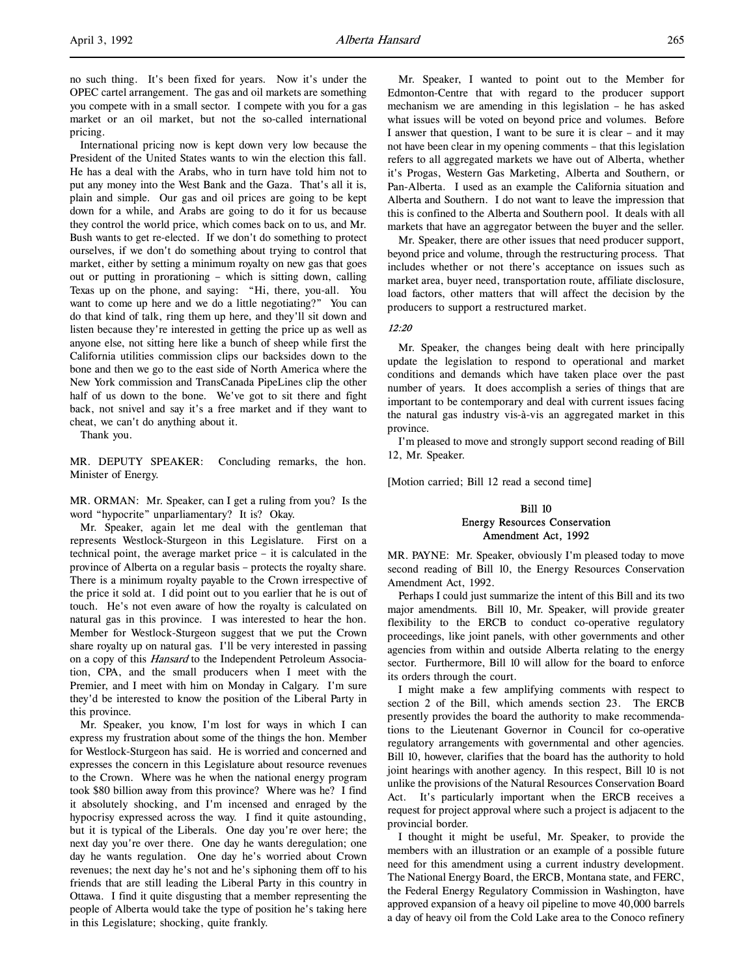no such thing. It's been fixed for years. Now it's under the OPEC cartel arrangement. The gas and oil markets are something you compete with in a small sector. I compete with you for a gas market or an oil market, but not the so-called international pricing.

International pricing now is kept down very low because the President of the United States wants to win the election this fall. He has a deal with the Arabs, who in turn have told him not to put any money into the West Bank and the Gaza. That's all it is, plain and simple. Our gas and oil prices are going to be kept down for a while, and Arabs are going to do it for us because they control the world price, which comes back on to us, and Mr. Bush wants to get re-elected. If we don't do something to protect ourselves, if we don't do something about trying to control that market, either by setting a minimum royalty on new gas that goes out or putting in prorationing – which is sitting down, calling Texas up on the phone, and saying: "Hi, there, you-all. You want to come up here and we do a little negotiating?" You can do that kind of talk, ring them up here, and they'll sit down and listen because they're interested in getting the price up as well as anyone else, not sitting here like a bunch of sheep while first the California utilities commission clips our backsides down to the bone and then we go to the east side of North America where the New York commission and TransCanada PipeLines clip the other half of us down to the bone. We've got to sit there and fight back, not snivel and say it's a free market and if they want to cheat, we can't do anything about it.

Thank you.

MR. DEPUTY SPEAKER: Concluding remarks, the hon. Minister of Energy.

MR. ORMAN: Mr. Speaker, can I get a ruling from you? Is the word "hypocrite" unparliamentary? It is? Okay.

Mr. Speaker, again let me deal with the gentleman that represents Westlock-Sturgeon in this Legislature. First on a technical point, the average market price – it is calculated in the province of Alberta on a regular basis – protects the royalty share. There is a minimum royalty payable to the Crown irrespective of the price it sold at. I did point out to you earlier that he is out of touch. He's not even aware of how the royalty is calculated on natural gas in this province. I was interested to hear the hon. Member for Westlock-Sturgeon suggest that we put the Crown share royalty up on natural gas. I'll be very interested in passing on a copy of this Hansard to the Independent Petroleum Association, CPA, and the small producers when I meet with the Premier, and I meet with him on Monday in Calgary. I'm sure they'd be interested to know the position of the Liberal Party in this province.

Mr. Speaker, you know, I'm lost for ways in which I can express my frustration about some of the things the hon. Member for Westlock-Sturgeon has said. He is worried and concerned and expresses the concern in this Legislature about resource revenues to the Crown. Where was he when the national energy program took \$80 billion away from this province? Where was he? I find it absolutely shocking, and I'm incensed and enraged by the hypocrisy expressed across the way. I find it quite astounding, but it is typical of the Liberals. One day you're over here; the next day you're over there. One day he wants deregulation; one day he wants regulation. One day he's worried about Crown revenues; the next day he's not and he's siphoning them off to his friends that are still leading the Liberal Party in this country in Ottawa. I find it quite disgusting that a member representing the people of Alberta would take the type of position he's taking here in this Legislature; shocking, quite frankly.

Mr. Speaker, I wanted to point out to the Member for Edmonton-Centre that with regard to the producer support mechanism we are amending in this legislation – he has asked what issues will be voted on beyond price and volumes. Before I answer that question, I want to be sure it is clear – and it may not have been clear in my opening comments – that this legislation refers to all aggregated markets we have out of Alberta, whether it's Progas, Western Gas Marketing, Alberta and Southern, or Pan-Alberta. I used as an example the California situation and Alberta and Southern. I do not want to leave the impression that this is confined to the Alberta and Southern pool. It deals with all markets that have an aggregator between the buyer and the seller.

Mr. Speaker, there are other issues that need producer support, beyond price and volume, through the restructuring process. That includes whether or not there's acceptance on issues such as market area, buyer need, transportation route, affiliate disclosure, load factors, other matters that will affect the decision by the producers to support a restructured market.

## 12:20

Mr. Speaker, the changes being dealt with here principally update the legislation to respond to operational and market conditions and demands which have taken place over the past number of years. It does accomplish a series of things that are important to be contemporary and deal with current issues facing the natural gas industry vis-à-vis an aggregated market in this province.

I'm pleased to move and strongly support second reading of Bill 12, Mr. Speaker.

[Motion carried; Bill 12 read a second time]

## Bill 10 Energy Resources Conservation Amendment Act, 1992

MR. PAYNE: Mr. Speaker, obviously I'm pleased today to move second reading of Bill 10, the Energy Resources Conservation Amendment Act, 1992.

Perhaps I could just summarize the intent of this Bill and its two major amendments. Bill 10, Mr. Speaker, will provide greater flexibility to the ERCB to conduct co-operative regulatory proceedings, like joint panels, with other governments and other agencies from within and outside Alberta relating to the energy sector. Furthermore, Bill 10 will allow for the board to enforce its orders through the court.

I might make a few amplifying comments with respect to section 2 of the Bill, which amends section 23. The ERCB presently provides the board the authority to make recommendations to the Lieutenant Governor in Council for co-operative regulatory arrangements with governmental and other agencies. Bill 10, however, clarifies that the board has the authority to hold joint hearings with another agency. In this respect, Bill 10 is not unlike the provisions of the Natural Resources Conservation Board Act. It's particularly important when the ERCB receives a request for project approval where such a project is adjacent to the provincial border.

I thought it might be useful, Mr. Speaker, to provide the members with an illustration or an example of a possible future need for this amendment using a current industry development. The National Energy Board, the ERCB, Montana state, and FERC, the Federal Energy Regulatory Commission in Washington, have approved expansion of a heavy oil pipeline to move 40,000 barrels a day of heavy oil from the Cold Lake area to the Conoco refinery